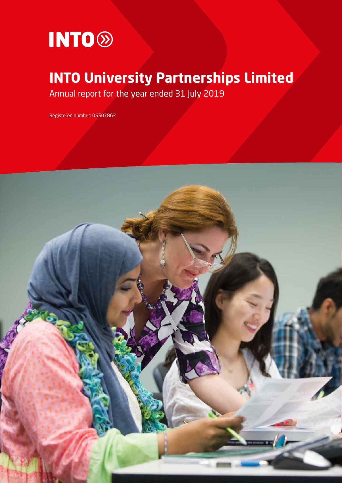

# **INTO University Partnerships Limited**

Annual report for the year ended 31 July 2019

Registered number: 05507863

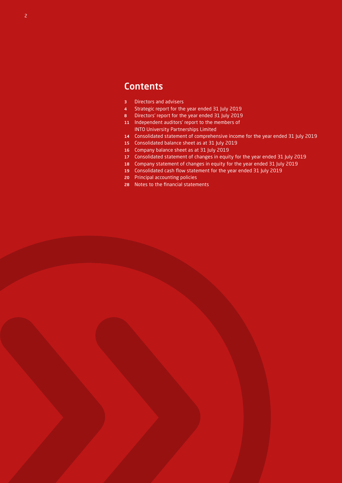## **Contents**

- Directors and advisers
- Strategic report for the year ended 31 July 2019
- Directors' report for the year ended 31 July 2019
- Independent auditors' report to the members of INTO University Partnerships Limited
- Consolidated statement of comprehensive income for the year ended 31 July 2019
- Consolidated balance sheet as at 31 July 2019
- Company balance sheet as at 31 July 2019
- Consolidated statement of changes in equity for the year ended 31 July 2019
- Company statement of changes in equity for the year ended 31 July 2019
- Consolidated cash flow statement for the year ended 31 July 2019
- Principal accounting policies
- Notes to the financial statements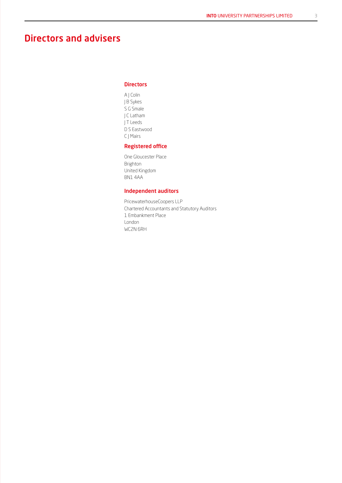## Directors and advisers

## **Directors**

A J Colin J B Sykes S G Smale J C Latham J T Leeds D S Eastwood C J Mairs

## Registered office

One Gloucester Place Brighton United Kingdom BN1 4AA

## Independent auditors

PricewaterhouseCoopers LLP Chartered Accountants and Statutory Auditors 1 Embankment Place London WC2N 6RH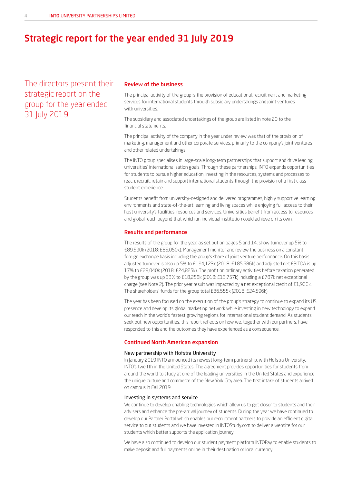## Strategic report for the year ended 31 July 2019

The directors present their strategic report on the group for the year ended 31 July 2019.

## Review of the business

The principal activity of the group is the provision of educational, recruitment and marketing services for international students through subsidiary undertakings and joint ventures with universities.

The subsidiary and associated undertakings of the group are listed in note 20 to the financial statements.

The principal activity of the company in the year under review was that of the provision of marketing, management and other corporate services, primarily to the company's joint ventures and other related undertakings.

The INTO group specialises in large-scale long-term partnerships that support and drive leading universities' internationalisation goals. Through these partnerships, INTO expands opportunities for students to pursue higher education, investing in the resources, systems and processes to reach, recruit, retain and support international students through the provision of a first class student experience.

Students benefit from university-designed and delivered programmes, highly supportive learning environments and state-of-the-art learning and living spaces while enjoying full access to their host university's facilities, resources and services. Universities benefit from access to resources and global reach beyond that which an individual institution could achieve on its own.

#### Results and performance

The results of the group for the year, as set out on pages 5 and 14, show turnover up 5% to £89,590k (2018: £85,050k). Management monitor and review the business on a constant foreign exchange basis including the group's share of joint venture performance. On this basis adjusted turnover is also up 5% to £194,123k (2018: £185,686k) and adjusted net EBITDA is up 17% to £29,040k (2018: £24,825k). The profit on ordinary activities before taxation generated by the group was up 33% to £18,258k (2018: £13,757k) including a £787k net exceptional charge (see Note 2). The prior year result was impacted by a net exceptional credit of £1,966k. The shareholders' funds for the group total £36,555k (2018: £24,596k).

The year has been focused on the execution of the group's strategy to continue to expand its US presence and develop its global marketing network while investing in new technology to expand our reach in the world's fastest growing regions for international student demand. As students seek out new opportunities, this report reflects on how we, together with our partners, have responded to this and the outcomes they have experienced as a consequence.

#### Continued North American expansion

#### New partnership with Hofstra University

In January 2019 INTO announced its newest long-term partnership, with Hofstra University, INTO's twelfth in the United States. The agreement provides opportunities for students from around the world to study at one of the leading universities in the United States and experience the unique culture and commerce of the New York City area. The first intake of students arrived on campus in Fall 2019.

#### Investing in systems and service

We continue to develop enabling technologies which allow us to get closer to students and their advisers and enhance the pre-arrival journey of students. During the year we have continued to develop our Partner Portal which enables our recruitment partners to provide an efficient digital service to our students and we have invested in INTOStudy.com to deliver a website for our students which better supports the application journey.

We have also continued to develop our student payment platform INTOPay to enable students to make deposit and full payments online in their destination or local currency.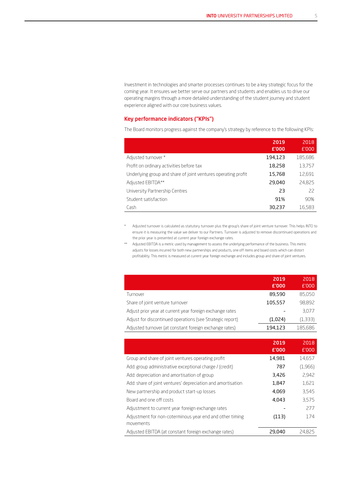Investment in technologies and smarter processes continues to be a key strategic focus for the coming year. It ensures we better serve our partners and students and enables us to drive our operating margins through a more detailed understanding of the student journey and student experience aligned with our core business values.

### Key performance indicators ("KPIs")

The Board monitors progress against the company's strategy by reference to the following KPIs:

|                                                               | 2019<br>£'000 | 2018<br>£'000 |
|---------------------------------------------------------------|---------------|---------------|
| Adjusted turnover *                                           | 194,123       | 185,686       |
| Profit on ordinary activities before tax                      | 18,258        | 13,757        |
| Underlying group and share of joint ventures operating profit | 15,768        | 12,691        |
| Adjusted EBITDA**                                             | 29,040        | 24,825        |
| University Partnership Centres                                | 23            | 22            |
| Student satisfaction                                          | 91%           | 90%           |
| Cash                                                          | 30,237        | 16,583        |

\* Adjusted turnover is calculated as statutory turnover plus the group's share of joint venture turnover. This helps INTO to ensure it is measuring the value we deliver to our Partners. Turnover is adjusted to remove discontinued operations and the prior year is presented at current year foreign exchange rates.

\*\* Adjusted EBITDA is a metric used by management to assess the underlying performance of the business. This metric adjusts for losses incurred for both new partnerships and products, one off items and board costs which can distort profitability. This metric is measured at current year foreign exchange and includes group and share of joint ventures.

|                                                           | 2019<br>£'000 | 2018<br>E'000 |
|-----------------------------------------------------------|---------------|---------------|
| Turnover                                                  | 89,590        | 85,050        |
| Share of joint venture turnover                           | 105,557       | 98,892        |
| Adjust prior year at current year foreign exchange rates  |               | 3.077         |
| Adjust for discontinued operations (see Strategic report) | (1,024)       | (1,333)       |
| Adjusted turnover (at constant foreign exchange rates)    | 194,123       | 185,686       |

|                                                             | 2019<br>£'000 | 2018<br>£'000 |
|-------------------------------------------------------------|---------------|---------------|
| Group and share of joint ventures operating profit          | 14,981        | 14,657        |
| Add: group administrative exceptional charge / (credit)     | 787           | (1,966)       |
| Add: depreciation and amortisation of group                 | 3,426         | 2.942         |
| Add: share of joint ventures' depreciation and amortisation | 1,847         | 1,621         |
| New partnership and product start-up losses                 | 4,069         | 3.545         |
| Board and one off costs                                     | 4,043         | 3.575         |
| Adjustment to current year foreign exchange rates           |               | 277           |
| Adjustment for non-coterminous year end and other timing    | (113)         | 174           |
| movements                                                   |               |               |
| Adjusted EBITDA (at constant foreign exchange rates)        | 29,040        | 24.825        |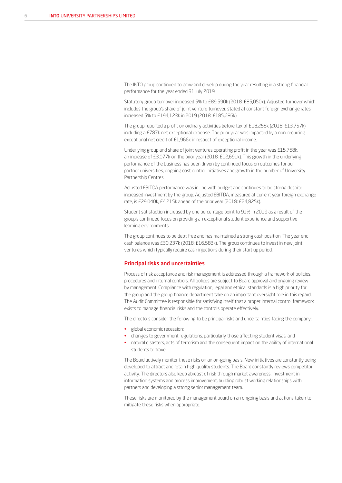The INTO group continued to grow and develop during the year resulting in a strong financial performance for the year ended 31 July 2019.

Statutory group turnover increased 5% to £89,590k (2018: £85,050k). Adjusted turnover which includes the group's share of joint venture turnover, stated at constant foreign exchange rates increased 5% to £194,123k in 2019 (2018: £185,686k).

The group reported a profit on ordinary activities before tax of £18,258k (2018: £13,757k) including a £787k net exceptional expense. The prior year was impacted by a non-recurring exceptional net credit of £1,966k in respect of exceptional income.

Underlying group and share of joint ventures operating profit in the year was £15,768k, an increase of £3,077k on the prior year (2018: £12,691k). This growth in the underlying performance of the business has been driven by continued focus on outcomes for our partner universities, ongoing cost control initiatives and growth in the number of University Partnership Centres.

Adjusted EBITDA performance was in line with budget and continues to be strong despite increased investment by the group. Adjusted EBITDA, measured at current year foreign exchange rate, is £29,040k, £4,215k ahead of the prior year (2018: £24,825k).

Student satisfaction increased by one percentage point to 91% in 2019 as a result of the group's continued focus on providing an exceptional student experience and supportive learning environments.

The group continues to be debt free and has maintained a strong cash position. The year end cash balance was £30,237k (2018: £16,583k). The group continues to invest in new joint ventures which typically require cash injections during their start up period.

### Principal risks and uncertainties

Process of risk acceptance and risk management is addressed through a framework of policies, procedures and internal controls. All polices are subject to Board approval and ongoing review by management. Compliance with regulation, legal and ethical standards is a high priority for the group and the group finance department take on an important oversight role in this regard. The Audit Committee is responsible for satisfying itself that a proper internal control framework exists to manage financial risks and the controls operate effectively.

The directors consider the following to be principal risks and uncertainties facing the company:

- global economic recession;
- changes to government regulations, particularly those affecting student visas; and
- natural disasters, acts of terrorism and the consequent impact on the ability of international students to travel.

The Board actively monitor these risks on an on-going basis. New initiatives are constantly being developed to attract and retain high quality students. The Board constantly reviews competitor activity. The directors also keep abreast of risk through market awareness, investment in information systems and process improvement, building robust working relationships with partners and developing a strong senior management team.

These risks are monitored by the management board on an ongoing basis and actions taken to mitigate these risks when appropriate.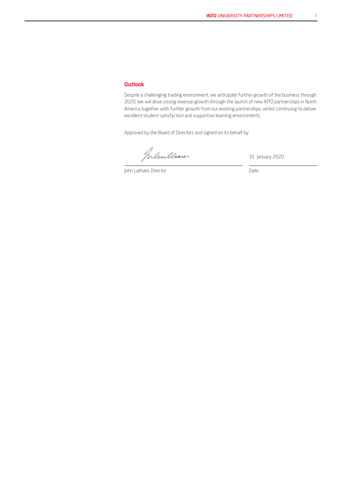## **Outlook**

Despite a challenging trading environment, we anticipate further growth of the business through 2020. We will drive strong revenue growth through the launch of new INTO partnerships in North America together with further growth from our existing partnerships, whilst continuing to deliver excellent student satisfaction and supportive learning environments.

Approved by the Board of Directors and signed on its behalf by:

Memleram

31 January 2020

John Latham, Director Date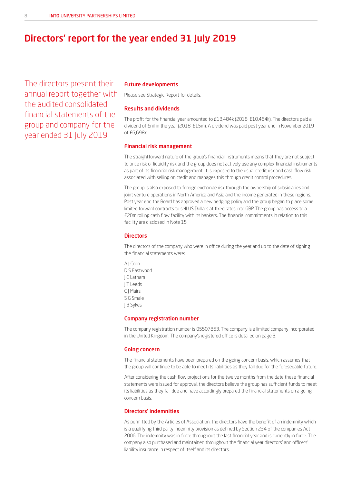## Directors' report for the year ended 31 July 2019

The directors present their annual report together with the audited consolidated financial statements of the group and company for the year ended 31 July 2019.

## Future developments

Please see Strategic Report for details.

#### Results and dividends

The profit for the financial year amounted to £13,484k (2018: £10,464k). The directors paid a dividend of £nil in the year (2018: £15m). A dividend was paid post year end in November 2019 of £6,698k.

#### Financial risk management

The straightforward nature of the group's financial instruments means that they are not subject to price risk or liquidity risk and the group does not actively use any complex financial instruments as part of its financial risk management. It is exposed to the usual credit risk and cash flow risk associated with selling on credit and manages this through credit control procedures.

The group is also exposed to foreign exchange risk through the ownership of subsidiaries and joint venture operations in North America and Asia and the income generated in these regions. Post year end the Board has approved a new hedging policy and the group began to place some limited forward contracts to sell US Dollars at fixed rates into GBP. The group has access to a £20m rolling cash flow facility with its bankers. The financial commitments in relation to this facility are disclosed in Note 15.

#### **Directors**

The directors of the company who were in office during the year and up to the date of signing the financial statements were:

A J Colin D S Eastwood J C Latham J T Leeds C J Mairs S G Smale J B Sykes

#### Company registration number

The company registration number is 05507863. The company is a limited company incorporated in the United Kingdom. The company's registered office is detailed on page 3.

#### Going concern

The financial statements have been prepared on the going concern basis, which assumes that the group will continue to be able to meet its liabilities as they fall due for the foreseeable future.

After considering the cash flow projections for the twelve months from the date these financial statements were issued for approval, the directors believe the group has sufficient funds to meet its liabilities as they fall due and have accordingly prepared the financial statements on a going concern basis.

## Directors' indemnities

As permitted by the Articles of Association, the directors have the benefit of an indemnity which is a qualifying third party indemnity provision as defined by Section 234 of the companies Act 2006. The indemnity was in force throughout the last financial year and is currently in force. The company also purchased and maintained throughout the financial year directors' and officers' liability insurance in respect of itself and its directors.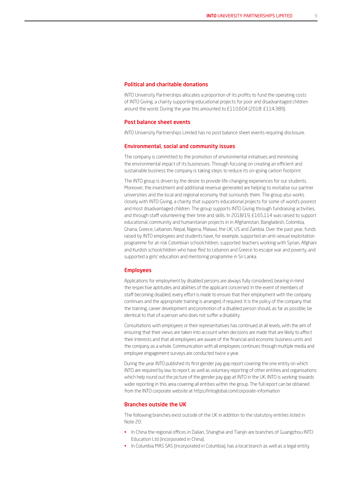#### Political and charitable donations

INTO University Partnerships allocates a proportion of its profits to fund the operating costs of INTO Giving, a charity supporting educational projects for poor and disadvantaged children around the world. During the year this amounted to £110,604 (2018: £114,389).

#### Post balance sheet events

INTO University Partnerships Limited has no post balance sheet events requiring disclosure.

#### Environmental, social and community issues

The company is committed to the promotion of environmental initiatives and minimising the environmental impact of its businesses. Through focusing on creating an efficient and sustainable business the company is taking steps to reduce its on-going carbon footprint.

The INTO group is driven by the desire to provide life-changing experiences for our students. Moreover, the investment and additional revenue generated are helping to revitalise our partner universities and the local and regional economy that surrounds them. The group also works closely with INTO Giving, a charity that supports educational projects for some of world's poorest and most disadvantaged children. The group supports INTO Giving through fundraising activities, and through staff volunteering their time and skills. In 2018/19, £165,114 was raised to support educational, community and humanitarian projects in in Afghanistan, Bangladesh, Colombia, Ghana, Greece, Lebanon, Nepal, Nigeria, Malawi, the UK, US and Zambia. Over the past year, funds raised by INTO employees and students have, for example, supported an anti-sexual exploitation programme for at-risk Colombian schoolchildren, supported teachers working with Syrian, Afghani and Kurdish schoolchildren who have fled to Lebanon and Greece to escape war and poverty, and supported a girls' education and mentoring programme in Sri Lanka.

#### Employees

Applications for employment by disabled persons are always fully considered, bearing in mind the respective aptitudes and abilities of the applicant concerned. In the event of members of staff becoming disabled, every effort is made to ensure that their employment with the company continues and the appropriate training is arranged, if required. It is the policy of the company that the training, career development and promotion of a disabled person should, as far as possible, be identical to that of a person who does not suffer a disability.

Consultations with employees or their representatives has continued at all levels, with the aim of ensuring that their views are taken into account when decisions are made that are likely to affect their interests and that all employees are aware of the financial and economic business units and the company as a whole. Communication with all employees continues through multiple media and employee engagement surveys are conducted twice a year.

During the year INTO published its first gender pay gap report covering the one entity on which INTO are required by law to report, as well as voluntary reporting of other entities and organisations which help round out the picture of the gender pay gap at INTO in the UK. INTO is working towards wider reporting in this area covering all entities within the group. The full report can be obtained from the INTO corporate website at https://intoglobal.com/corporate-information

### Branches outside the UK

The following branches exist outside of the UK in addition to the statutory entities listed in Note 20:

- In China the regional offices in Dalian, Shanghai and Tianjin are branches of Guangzhou INTO Education Ltd (incorporated in China).
- In Columbia MAS SAS (incorporated in Columbia), has a local branch as well as a legal entity.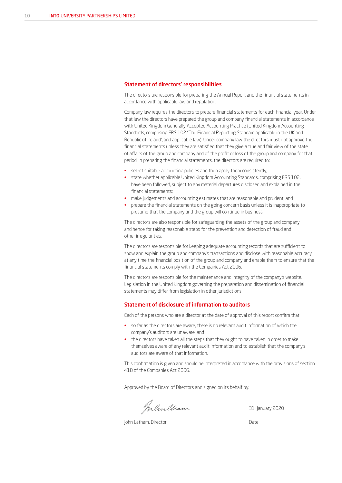#### Statement of directors' responsibilities

The directors are responsible for preparing the Annual Report and the financial statements in accordance with applicable law and regulation.

Company law requires the directors to prepare financial statements for each financial year. Under that law the directors have prepared the group and company financial statements in accordance with United Kingdom Generally Accepted Accounting Practice (United Kingdom Accounting Standards, comprising FRS 102 "The Financial Reporting Standard applicable in the UK and Republic of Ireland", and applicable law). Under company law the directors must not approve the financial statements unless they are satisfied that they give a true and fair view of the state of affairs of the group and company and of the profit or loss of the group and company for that period. In preparing the financial statements, the directors are required to:

- select suitable accounting policies and then apply them consistently;
- state whether applicable United Kingdom Accounting Standards, comprising FRS 102, have been followed, subject to any material departures disclosed and explained in the financial statements;
- make judgements and accounting estimates that are reasonable and prudent; and
- prepare the financial statements on the going concern basis unless it is inappropriate to presume that the company and the group will continue in business.

The directors are also responsible for safeguarding the assets of the group and company and hence for taking reasonable steps for the prevention and detection of fraud and other irregularities.

The directors are responsible for keeping adequate accounting records that are sufficient to show and explain the group and company's transactions and disclose with reasonable accuracy at any time the financial position of the group and company and enable them to ensure that the financial statements comply with the Companies Act 2006.

The directors are responsible for the maintenance and integrity of the company's website. Legislation in the United Kingdom governing the preparation and dissemination of financial statements may differ from legislation in other jurisdictions.

#### Statement of disclosure of information to auditors

Each of the persons who are a director at the date of approval of this report confirm that:

- so far as the directors are aware, there is no relevant audit information of which the company's auditors are unaware; and
- the directors have taken all the steps that they ought to have taken in order to make themselves aware of any relevant audit information and to establish that the company's auditors are aware of that information.

This confirmation is given and should be interpreted in accordance with the provisions of section 418 of the Companies Act 2006.

Approved by the Board of Directors and signed on its behalf by:

Inlinelian

31 January 2020

John Latham, Director Date Date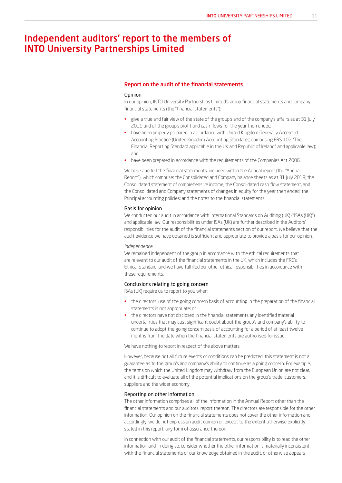## Independent auditors' report to the members of INTO University Partnerships Limited

#### Report on the audit of the financial statements

#### **Opinion**

In our opinion, INTO University Partnerships Limited's group financial statements and company financial statements (the "financial statements"):

- give a true and fair view of the state of the group's and of the company's affairs as at 31 July 2019 and of the group's profit and cash flows for the year then ended;
- have been properly prepared in accordance with United Kingdom Generally Accepted Accounting Practice (United Kingdom Accounting Standards, comprising FRS 102 "The Financial Reporting Standard applicable in the UK and Republic of Ireland", and applicable law); and
- have been prepared in accordance with the requirements of the Companies Act 2006.

We have audited the financial statements, included within the Annual report (the "Annual Report"), which comprise: the Consolidated and Company balance sheets as at 31 July 2019; the Consolidated statement of comprehensive income, the Consolidated cash flow statement, and the Consolidated and Company statements of changes in equity for the year then ended; the Principal accounting policies; and the notes to the financial statements.

#### Basis for opinion

We conducted our audit in accordance with International Standards on Auditing (UK) ("ISAs (UK)") and applicable law. Our responsibilities under ISAs (UK) are further described in the Auditors' responsibilities for the audit of the financial statements section of our report. We believe that the audit evidence we have obtained is sufficient and appropriate to provide a basis for our opinion.

#### *Independence*

We remained independent of the group in accordance with the ethical requirements that are relevant to our audit of the financial statements in the UK, which includes the FRC's Ethical Standard, and we have fulfilled our other ethical responsibilities in accordance with these requirements.

#### Conclusions relating to going concern

ISAs (UK) require us to report to you when:

- the directors' use of the going concern basis of accounting in the preparation of the financial statements is not appropriate; or
- the directors have not disclosed in the financial statements any identified material uncertainties that may cast significant doubt about the group's and company's ability to continue to adopt the going concern basis of accounting for a period of at least twelve months from the date when the financial statements are authorised for issue.

We have nothing to report in respect of the above matters.

However, because not all future events or conditions can be predicted, this statement is not a guarantee as to the group's and company's ability to continue as a going concern. For example, the terms on which the United Kingdom may withdraw from the European Union are not clear, and it is difficult to evaluate all of the potential implications on the group's trade, customers, suppliers and the wider economy.

#### Reporting on other information

The other information comprises all of the information in the Annual Report other than the financial statements and our auditors' report thereon. The directors are responsible for the other information. Our opinion on the financial statements does not cover the other information and, accordingly, we do not express an audit opinion or, except to the extent otherwise explicitly stated in this report, any form of assurance thereon.

In connection with our audit of the financial statements, our responsibility is to read the other information and, in doing so, consider whether the other information is materially inconsistent with the financial statements or our knowledge obtained in the audit, or otherwise appears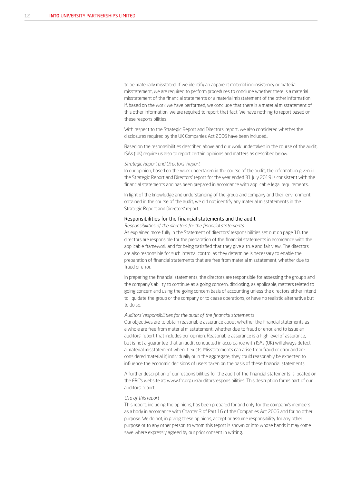to be materially misstated. If we identify an apparent material inconsistency or material misstatement, we are required to perform procedures to conclude whether there is a material misstatement of the financial statements or a material misstatement of the other information. If, based on the work we have performed, we conclude that there is a material misstatement of this other information, we are required to report that fact. We have nothing to report based on these responsibilities.

With respect to the Strategic Report and Directors' report, we also considered whether the disclosures required by the UK Companies Act 2006 have been included..

Based on the responsibilities described above and our work undertaken in the course of the audit, ISAs (UK) require us also to report certain opinions and matters as described below.

#### *Strategic Report and Directors' Report*

In our opinion, based on the work undertaken in the course of the audit, the information given in the Strategic Report and Directors' report for the year ended 31 July 2019 is consistent with the financial statements and has been prepared in accordance with applicable legal requirements.

In light of the knowledge and understanding of the group and company and their environment obtained in the course of the audit, we did not identify any material misstatements in the Strategic Report and Directors' report.

#### Responsibilities for the financial statements and the audit

*Responsibilities of the directors for the financial statements*

As explained more fully in the Statement of directors' responsibilities set out on page 10, the directors are responsible for the preparation of the financial statements in accordance with the applicable framework and for being satisfied that they give a true and fair view. The directors are also responsible for such internal control as they determine is necessary to enable the preparation of financial statements that are free from material misstatement, whether due to fraud or error.

In preparing the financial statements, the directors are responsible for assessing the group's and the company's ability to continue as a going concern, disclosing, as applicable, matters related to going concern and using the going concern basis of accounting unless the directors either intend to liquidate the group or the company or to cease operations, or have no realistic alternative but to do so.

#### *Auditors' responsibilities for the audit of the financial statements*

Our objectives are to obtain reasonable assurance about whether the financial statements as a whole are free from material misstatement, whether due to fraud or error, and to issue an auditors' report that includes our opinion. Reasonable assurance is a high level of assurance, but is not a guarantee that an audit conducted in accordance with ISAs (UK) will always detect a material misstatement when it exists. Misstatements can arise from fraud or error and are considered material if, individually or in the aggregate, they could reasonably be expected to influence the economic decisions of users taken on the basis of these financial statements.

A further description of our responsibilities for the audit of the financial statements is located on the FRC's website at: www.frc.org.uk/auditorsresponsibilities. This description forms part of our auditors' report.

#### *Use of this report*

This report, including the opinions, has been prepared for and only for the company's members as a body in accordance with Chapter 3 of Part 16 of the Companies Act 2006 and for no other purpose. We do not, in giving these opinions, accept or assume responsibility for any other purpose or to any other person to whom this report is shown or into whose hands it may come save where expressly agreed by our prior consent in writing.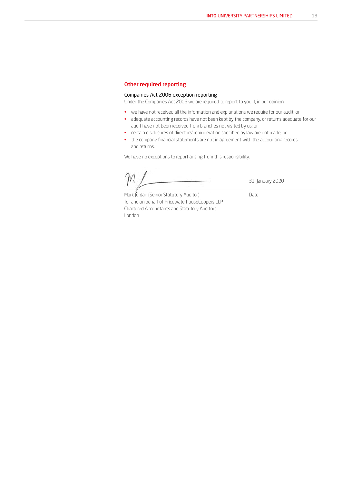## Other required reporting

## Companies Act 2006 exception reporting

Under the Companies Act 2006 we are required to report to you if, in our opinion:

- we have not received all the information and explanations we require for our audit; or
- adequate accounting records have not been kept by the company, or returns adequate for our audit have not been received from branches not visited by us; or
- certain disclosures of directors' remuneration specified by law are not made; or
- the company financial statements are not in agreement with the accounting records and returns.

We have no exceptions to report arising from this responsibility.

31 January 2020

Date

Mark Jordan (Senior Statutory Auditor) for and on behalf of PricewaterhouseCoopers LLP Chartered Accountants and Statutory Auditors London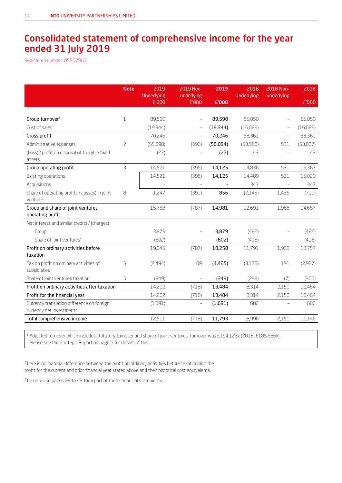## Consolidated statement of comprehensive income for the year ended 31 July 2019

Registered number: 05507863

|                                                         | <b>Note</b>             | 2019<br>Underlying | 2019 Non-<br>underlying  | 2019      | 2018<br>Underlying | 2018 Non-<br>underlying  | 2018     |
|---------------------------------------------------------|-------------------------|--------------------|--------------------------|-----------|--------------------|--------------------------|----------|
|                                                         |                         | £'000              | £'000                    | £'000     |                    |                          | £'000    |
|                                                         |                         |                    |                          |           |                    |                          |          |
| Group turnover <sup>1</sup>                             | $\mathbf 1$             | 89,590             |                          | 89,590    | 85,050             |                          | 85,050   |
| Cost of sales                                           |                         | (19, 344)          |                          | (19, 344) | (16,689)           |                          | (16,689) |
| Gross profit                                            |                         | 70,246             | $\equiv$                 | 70,246    | 68,361             | $\equiv$                 | 68,361   |
| Administrative expenses                                 | $\overline{c}$          | (55,698)           | (396)                    | (56,094)  | (53, 568)          | 531                      | (53,037) |
| (Loss) / profit on disposal of tangible fixed<br>assets |                         | (27)               |                          | (27)      | 43                 |                          | 43       |
| Group operating profit                                  | $\overline{\mathbf{B}}$ | 14,521             | (396)                    | 14,125    | 14,836             | 531                      | 15,367   |
| Existing operations                                     |                         | 14,521             | (396)                    | 14,125    | 14,489             | 531                      | 15,020   |
| Acquisitions                                            |                         |                    |                          |           | 347                | $\overline{\phantom{m}}$ | 347      |
| Share of operating profits / (losses) in joint          | 8                       | 1,247              | (391)                    | 856       | (2,145)            | 1,435                    | (710)    |
| ventures                                                |                         |                    |                          |           |                    |                          |          |
| Group and share of joint ventures<br>operating profit   |                         | 15,768             | (787)                    | 14,981    | 12,691             | 1,966                    | 14,657   |
| Net interest and similar credits / (charges)            |                         |                    |                          |           |                    |                          |          |
| Group                                                   |                         | 3,879              |                          | 3,879     | (482)              |                          | (482)    |
| Share of joint ventures'                                |                         | (602)              | $\overline{\phantom{m}}$ | (602)     | (418)              | $\overline{\phantom{0}}$ | (418)    |
| Profit on ordinary activities before                    |                         | 19,045             | (787)                    | 18,258    | 11,791             | 1,966                    | 13,757   |
| taxation                                                |                         |                    |                          |           |                    |                          |          |
| Tax on profit on ordinary activities of<br>subsidiaries | 5                       | (4,494)            | 69                       | (4,425)   | (3,178)            | 191                      | (2,987)  |
| Share of joint ventures taxation                        | 5                       | (349)              |                          | (349)     | (299)              | (7)                      | (306)    |
| Profit on ordinary activities after taxation            |                         | 14,202             | (718)                    | 13,484    | 8,314              | 2,150                    | 10,464   |
| Profit for the financial year                           |                         | 14,202             | (718)                    | 13,484    | 8,314              | 2,150                    | 10,464   |
| Currency translation difference on foreign              |                         | (1,691)            |                          | (1,691)   | 682                |                          | 682      |
| currency net investments                                |                         |                    |                          |           |                    |                          |          |
| Total comprehensive income                              |                         | 12,511             | (718)                    | 11,793    | 8,996              | 2,150                    | 11,146   |

<sup>1</sup> Adjusted turnover which includes statutory turnover and share of joint ventures' turnover was £194,123k (2018: £185,686k). Please see the Strategic Report on page 6 for details of this.

There is no material difference between the profit on ordinary activities before taxation and the profit for the current and prior financial year stated above and their historical cost equivalents.

The notes on pages 28 to 43 form part of these financial statements.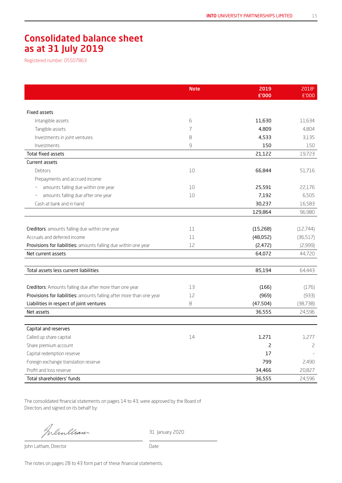## Consolidated balance sheet as at 31 July 2019

Registered number: 05507863

|                                                                      | <b>Note</b> | 2019<br>£'000 | 20181<br>£'000 |
|----------------------------------------------------------------------|-------------|---------------|----------------|
|                                                                      |             |               |                |
| <b>Fixed assets</b>                                                  |             |               |                |
| Intangible assets                                                    | 6           | 11,630        | 11,634         |
| Tangible assets                                                      | 7           | 4,809         | 4,804          |
| Investments in joint ventures                                        | 8           | 4,533         | 3,135          |
| Investments                                                          | 9           | 150           | 150            |
| Total fixed assets                                                   |             | 21,122        | 19,723         |
| Current assets                                                       |             |               |                |
| Debtors                                                              | $10\,$      | 66,844        | 51,716         |
| Prepayments and accrued income                                       |             |               |                |
| amounts falling due within one year                                  | 10          | 25,591        | 22,176         |
| amounts falling due after one year                                   | 10          | 7,192         | 6,505          |
| Cash at bank and in hand                                             |             | 30,237        | 16,583         |
|                                                                      |             | 129,864       | 96,980         |
|                                                                      |             |               |                |
| Creditors: amounts falling due within one year                       | 11          | (15,268)      | (12, 744)      |
| Accruals and deferred income                                         | 11          | (48,052)      | (36,517)       |
| Provisions for liabilities: amounts falling due within one year      | 12          | (2,472)       | (2,999)        |
| Net current assets                                                   |             | 64,072        | 44,720         |
|                                                                      |             |               |                |
| Total assets less current liabilities                                |             | 85,194        | 64,443         |
|                                                                      |             |               |                |
| Creditors: Amounts falling due after more than one year              | 13          | (166)         | (176)          |
| Provisions for liabilities: amounts falling after more than one year | 12          | (969)         | (933)          |
| Liabilities in respect of joint ventures                             | 8           | (47, 504)     | (38, 738)      |
| Net assets                                                           |             | 36,555        | 24,596         |
|                                                                      |             |               |                |
| Capital and reserves                                                 |             |               |                |
| Called up share capital                                              | 14          | 1,271         | 1,277          |
| Share premium account                                                |             | 2             | 2              |
| Capital redemption reserve                                           |             | 17            |                |
| Foreign exchange translation reserve                                 |             | 799           | 2,490          |
| Profit and loss reserve                                              |             | 34,466        | 20,827         |
| Total shareholders' funds                                            |             | 36,555        | 24,596         |

The consolidated financial statements on pages 14 to 43, were approved by the Board of Directors and signed on its behalf by:

Inlinelian

31 January 2020

John Latham, Director Date

The notes on pages 28 to 43 form part of these financial statements.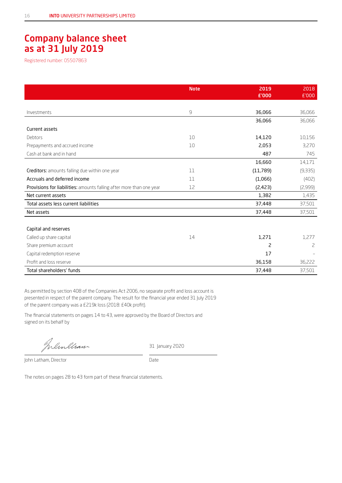## Company balance sheet as at 31 July 2019

Registered number: 05507863

|                                                                      | <b>Note</b> | 2019<br>£'000 | 2018    |
|----------------------------------------------------------------------|-------------|---------------|---------|
|                                                                      |             |               | £'000   |
| Investments                                                          | $\mathsf 9$ | 36,066        | 36,066  |
|                                                                      |             | 36,066        | 36,066  |
| Current assets                                                       |             |               |         |
| Debtors                                                              | 10          | 14,120        | 10,156  |
| Prepayments and accrued income                                       | 10          | 2,053         | 3,270   |
| Cash at bank and in hand                                             |             | 487           | 745     |
|                                                                      |             | 16,660        | 14,171  |
| Creditors: amounts falling due within one year                       | 11          | (11,789)      | (9,335) |
| Accruals and deferred income                                         | 11          | (1,066)       | (402)   |
| Provisions for liabilities: amounts falling after more than one year | 12          | (2,423)       | (2,999) |
| Net current assets                                                   |             | 1,382         | 1,435   |
| Total assets less current liabilities                                |             | 37,448        | 37,501  |
| Net assets                                                           |             | 37,448        | 37,501  |
|                                                                      |             |               |         |
| Capital and reserves                                                 |             |               |         |
| Called up share capital                                              | 14          | 1,271         | 1,277   |
| Share premium account                                                |             | 2             | 2       |
| Capital redemption reserve                                           |             | 17            |         |
| Profit and loss reserve                                              |             | 36,158        | 36,222  |
| Total shareholders' funds                                            |             | 37,448        | 37,501  |

As permitted by section 408 of the Companies Act 2006, no separate profit and loss account is presented in respect of the parent company. The result for the financial year ended 31 July 2019 of the parent company was a £219k loss (2018: £40k profit).

The financial statements on pages 14 to 43, were approved by the Board of Directors and signed on its behalf by

Wemllram

31 January 2020

John Latham, Director Date

The notes on pages 28 to 43 form part of these financial statements.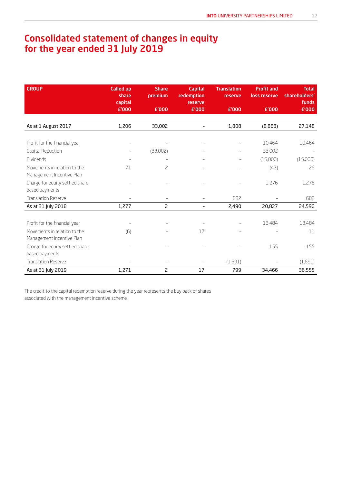## Consolidated statement of changes in equity for the year ended 31 July 2019

| <b>GROUP</b>                                              | <b>Called up</b><br>share<br>capital | <b>Share</b><br>premium  | <b>Capital</b><br>redemption<br>reserve | <b>Translation</b><br>reserve | <b>Profit and</b><br>loss reserve | <b>Total</b><br>shareholders'<br>funds |
|-----------------------------------------------------------|--------------------------------------|--------------------------|-----------------------------------------|-------------------------------|-----------------------------------|----------------------------------------|
|                                                           | £'000                                | £'000                    | £'000                                   | £'000                         | £'000                             | £'000                                  |
|                                                           |                                      |                          |                                         |                               |                                   |                                        |
| As at 1 August 2017                                       | 1,206                                | 33,002                   | $\overline{\phantom{0}}$                | 1,808                         | (8,868)                           | 27,148                                 |
|                                                           |                                      |                          |                                         |                               |                                   |                                        |
| Profit for the financial year                             |                                      |                          |                                         |                               | 10,464                            | 10,464                                 |
| Capital Reduction                                         |                                      | (33,002)                 |                                         | $\overline{\phantom{m}}$      | 33,002                            | $\overline{\phantom{m}}$               |
| Dividends                                                 |                                      |                          |                                         | L,                            | (15,000)                          | (15,000)                               |
| Movements in relation to the<br>Management Incentive Plan | 71                                   | $\overline{c}$           |                                         |                               | (47)                              | 26                                     |
| Charge for equity settled share<br>based payments         |                                      |                          |                                         |                               | 1,276                             | 1,276                                  |
| <b>Translation Reserve</b>                                |                                      |                          |                                         | 682                           |                                   | 682                                    |
| As at 31 July 2018                                        | 1,277                                | 2                        | $\overline{\phantom{0}}$                | 2,490                         | 20,827                            | 24,596                                 |
|                                                           |                                      |                          |                                         |                               |                                   |                                        |
| Profit for the financial year                             |                                      |                          |                                         |                               | 13,484                            | 13,484                                 |
| Movements in relation to the<br>Management Incentive Plan | (6)                                  |                          | 17                                      |                               |                                   | 11                                     |
| Charge for equity settled share<br>based payments         |                                      |                          |                                         |                               | 155                               | 155                                    |
| <b>Translation Reserve</b>                                |                                      | $\overline{\phantom{a}}$ |                                         | (1,691)                       |                                   | (1,691)                                |
| As at 31 July 2019                                        | 1,271                                | 2                        | 17                                      | 799                           | 34,466                            | 36,555                                 |

The credit to the capital redemption reserve during the year represents the buy back of shares associated with the management incentive scheme.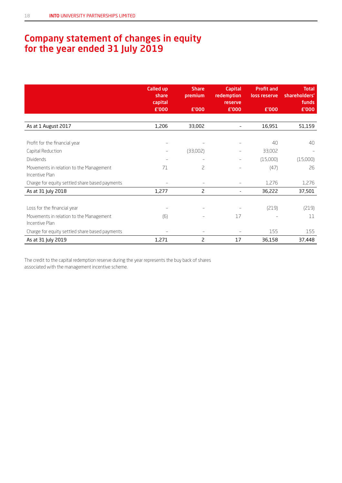## Company statement of changes in equity for the year ended 31 July 2019

|                                                           | <b>Called up</b><br>share<br>capital<br>£'000 | <b>Share</b><br>premium<br>£'000 | <b>Capital</b><br>redemption<br><b>reserve</b><br>£'000 | <b>Profit and</b><br>loss reserve<br>£'000 | <b>Total</b><br>shareholders'<br>funds<br>£'000 |
|-----------------------------------------------------------|-----------------------------------------------|----------------------------------|---------------------------------------------------------|--------------------------------------------|-------------------------------------------------|
|                                                           |                                               |                                  |                                                         |                                            |                                                 |
| As at 1 August 2017                                       | 1,206                                         | 33,002                           | $\overline{\phantom{0}}$                                | 16,951                                     | 51,159                                          |
|                                                           |                                               |                                  |                                                         |                                            |                                                 |
| Profit for the financial year                             |                                               |                                  |                                                         | 40                                         | 40                                              |
| Capital Reduction                                         |                                               | (33,002)                         |                                                         | 33,002                                     |                                                 |
| Dividends                                                 | $\overline{\phantom{m}}$                      |                                  | $\overline{\phantom{m}}$                                | (15,000)                                   | (15,000)                                        |
| Movements in relation to the Management<br>Incentive Plan | 71                                            | 2                                |                                                         | (47)                                       | 26                                              |
| Charge for equity settled share based payments            |                                               |                                  |                                                         | 1,276                                      | 1,276                                           |
| As at 31 July 2018                                        | 1,277                                         | 2                                |                                                         | 36,222                                     | 37,501                                          |
|                                                           |                                               |                                  |                                                         |                                            |                                                 |
| Loss for the financial year                               |                                               |                                  |                                                         | (219)                                      | (219)                                           |
| Movements in relation to the Management<br>Incentive Plan | (6)                                           |                                  | 17                                                      |                                            | 11                                              |
| Charge for equity settled share based payments            | $\qquad \qquad -$                             |                                  |                                                         | 155                                        | 155                                             |
| As at 31 July 2019                                        | 1,271                                         | 2                                | 17                                                      | 36,158                                     | 37,448                                          |

The credit to the capital redemption reserve during the year represents the buy back of shares associated with the management incentive scheme.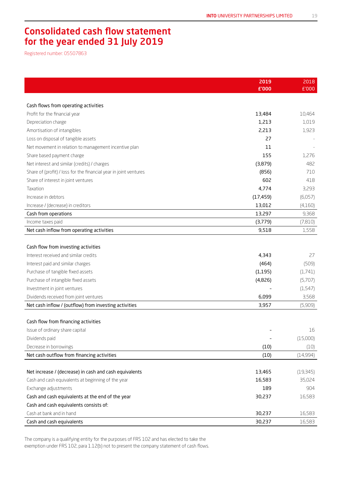## Consolidated cash flow statement for the year ended 31 July 2019

Registered number: 05507863

|                                                                   | 2019      | 2018      |
|-------------------------------------------------------------------|-----------|-----------|
|                                                                   | £'000     | £'000     |
|                                                                   |           |           |
| Cash flows from operating activities                              |           |           |
| Profit for the financial year                                     | 13,484    | 10,464    |
| Depreciation charge                                               | 1,213     | 1,019     |
| Amortisation of intangibles                                       | 2,213     | 1,923     |
| Loss on disposal of tangible assets                               | 27        |           |
| Net movement in relation to management incentive plan             | 11        |           |
| Share based payment charge                                        | 155       | 1,276     |
| Net interest and similar (credits) / charges                      | (3,879)   | 482       |
| Share of (profit) / loss for the financial year in joint ventures | (856)     | 710       |
| Share of interest in joint ventures                               | 602       | 418       |
| Taxation                                                          | 4,774     | 3,293     |
| Increase in debtors                                               | (17, 459) | (6,057)   |
| Increase / (decrease) in creditors                                | 13,012    | (4,160)   |
| Cash from operations                                              | 13,297    | 9,368     |
| Income taxes paid                                                 | (3,779)   | (7,810)   |
| Net cash inflow from operating activities                         | 9,518     | 1,558     |
|                                                                   |           |           |
| Cash flow from investing activities                               |           |           |
| Interest received and similar credits                             | 4,343     | 27        |
| Interest paid and similar charges                                 | (464)     | (509)     |
| Purchase of tangible fixed assets                                 | (1, 195)  | (1,741)   |
| Purchase of intangible fixed assets                               | (4,826)   | (5,707)   |
| Investment in joint ventures                                      |           | (1, 547)  |
| Dividends received from joint ventures                            | 6,099     | 3,568     |
| Net cash inflow / (outflow) from investing activities             | 3,957     | (5,909)   |
|                                                                   |           |           |
| Cash flow from financing activities                               |           |           |
| Issue of ordinary share capital                                   |           | 16        |
| Dividends paid                                                    |           | (15,000)  |
| Decrease in borrowings                                            | (10)      | (10)      |
| Net cash outflow from financing activities                        | (10)      | (14,994)  |
|                                                                   |           |           |
| Net increase / (decrease) in cash and cash equivalents            | 13,465    | (19, 345) |
| Cash and cash equivalents at beginning of the year                | 16,583    | 35,024    |
| Exchange adjustments                                              | 189       | 904       |
| Cash and cash equivalents at the end of the year                  | 30,237    | 16,583    |
| Cash and cash equivalents consists of:                            |           |           |
| Cash at bank and in hand                                          | 30,237    | 16,583    |
| Cash and cash equivalents                                         | 30,237    | 16,583    |

The company is a qualifying entity for the purposes of FRS 102 and has elected to take the exemption under FRS 102, para 1.12(b) not to present the company statement of cash flows.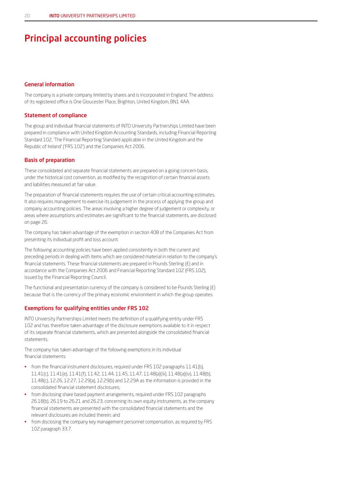## Principal accounting policies

## General information

The company is a private company limited by shares and is incorporated in England. The address of its registered office is One Gloucester Place, Brighton, United Kingdom, BN1 4AA.

#### Statement of compliance

The group and individual financial statements of INTO University Partnerships Limited have been prepared in compliance with United Kingdom Accounting Standards, including Financial Reporting Standard 102, 'The Financial Reporting Standard applicable in the United Kingdom and the Republic of Ireland' ('FRS 102') and the Companies Act 2006.

### Basis of preparation

These consolidated and separate financial statements are prepared on a going concern basis, under the historical cost convention, as modified by the recognition of certain financial assets and liabilities measured at fair value.

The preparation of financial statements requires the use of certain critical accounting estimates. It also requires management to exercise its judgement in the process of applying the group and company accounting policies. The areas involving a higher degree of judgement or complexity, or areas where assumptions and estimates are significant to the financial statements, are disclosed on page 26.

The company has taken advantage of the exemption in section 408 of the Companies Act from presenting its individual profit and loss account.

The following accounting policies have been applied consistently in both the current and preceding periods in dealing with items which are considered material in relation to the company's financial statements. These financial statements are prepared in Pounds Sterling (£) and in accordance with the Companies Act 2006 and Financial Reporting Standard 102 (FRS 102), issued by the Financial Reporting Council.

The functional and presentation currency of the company is considered to be Pounds Sterling (£) because that is the currency of the primary economic environment in which the group operates.

#### Exemptions for qualifying entities under FRS 102

INTO University Partnerships Limited meets the definition of a qualifying entity under FRS 102 and has therefore taken advantage of the disclosure exemptions available to it in respect of its separate financial statements, which are presented alongside the consolidated financial statements.

The company has taken advantage of the following exemptions in its individual financial statements:

- from the financial instrument disclosures, required under FRS 102 paragraphs 11.41(b), 11.41(c), 11.41(e), 11.41(f), 11.42, 11.44, 11.45, 11.47, 11.48(a)(iii), 11.48(a)(iv), 11.48(b), 11.48(c), 12.26, 12.27, 12.29(a), 12.29(b) and 12.29A as the information is provided in the consolidated financial statement disclosures;
- from disclosing share based payment arrangements, required under FRS 102 paragraphs 26.18(b), 26.19 to 26.21 and 26.23, concerning its own equity instruments, as the company financial statements are presented with the consolidated financial statements and the relevant disclosures are included therein; and
- from disclosing the company key management personnel compensation, as required by FRS 102 paragraph 33.7.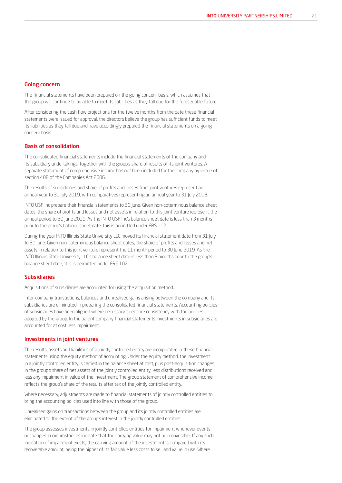## Going concern

The financial statements have been prepared on the going concern basis, which assumes that the group will continue to be able to meet its liabilities as they fall due for the foreseeable future.

After considering the cash flow projections for the twelve months from the date these financial statements were issued for approval, the directors believe the group has sufficient funds to meet its liabilities as they fall due and have accordingly prepared the financial statements on a going concern basis.

#### Basis of consolidation

The consolidated financial statements include the financial statements of the company and its subsidiary undertakings, together with the group's share of results of its joint ventures. A separate statement of comprehensive income has not been included for the company by virtue of section 408 of the Companies Act 2006.

The results of subsidiaries and share of profits and losses from joint ventures represent an annual year to 31 July 2019, with comparatives representing an annual year to 31 July 2018.

INTO USF Inc prepare their financial statements to 30 June. Given non-coterminous balance sheet dates, the share of profits and losses and net assets in relation to this joint venture represent the annual period to 30 June 2019. As the INTO USF Inc's balance sheet date is less than 3 months prior to the group's balance sheet date, this is permitted under FRS 102.

During the year INTO Illinois State University LLC moved its financial statement date from 31 July to 30 June. Given non-coterminous balance sheet dates, the share of profits and losses and net assets in relation to this joint venture represent the 11 month period to 30 June 2019. As the INTO Illinois State University LLC's balance sheet date is less than 3 months prior to the group's balance sheet date, this is permitted under FRS 102.

### Subsidiaries

Acquisitions of subsidiaries are accounted for using the acquisition method.

Inter-company transactions, balances and unrealised gains arising between the company and its subsidiaries are eliminated in preparing the consolidated financial statements. Accounting policies of subsidiaries have been aligned where necessary to ensure consistency with the policies adopted by the group. In the parent company financial statements investments in subsidiaries are accounted for at cost less impairment.

#### Investments in joint ventures

The results, assets and liabilities of a jointly controlled entity are incorporated in these financial statements using the equity method of accounting. Under the equity method, the investment in a jointly controlled entity is carried in the balance sheet at cost, plus post-acquisition changes in the group's share of net assets of the jointly controlled entity, less distributions received and less any impairment in value of the investment. The group statement of comprehensive income reflects the group's share of the results after tax of the jointly controlled entity.

Where necessary, adjustments are made to financial statements of jointly controlled entities to bring the accounting policies used into line with those of the group.

Unrealised gains on transactions between the group and its jointly controlled entities are eliminated to the extent of the group's interest in the jointly controlled entities.

The group assesses investments in jointly controlled entities for impairment whenever events or changes in circumstances indicate that the carrying value may not be recoverable. If any such indication of impairment exists, the carrying amount of the investment is compared with its recoverable amount, being the higher of its fair value less costs to sell and value in use. Where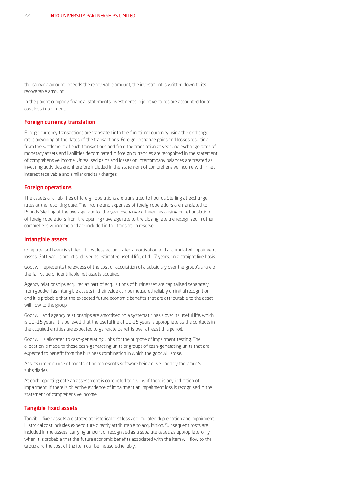the carrying amount exceeds the recoverable amount, the investment is written down to its recoverable amount.

In the parent company financial statements investments in joint ventures are accounted for at cost less impairment.

### Foreign currency translation

Foreign currency transactions are translated into the functional currency using the exchange rates prevailing at the dates of the transactions. Foreign exchange gains and losses resulting from the settlement of such transactions and from the translation at year end exchange rates of monetary assets and liabilities denominated in foreign currencies are recognised in the statement of comprehensive income. Unrealised gains and losses on intercompany balances are treated as investing activities and therefore included in the statement of comprehensive income within net interest receivable and similar credits / charges.

#### Foreign operations

The assets and liabilities of foreign operations are translated to Pounds Sterling at exchange rates at the reporting date. The income and expenses of foreign operations are translated to Pounds Sterling at the average rate for the year. Exchange differences arising on retranslation of foreign operations from the opening / average rate to the closing rate are recognised in other comprehensive income and are included in the translation reserve.

#### Intangible assets

Computer software is stated at cost less accumulated amortisation and accumulated impairment losses. Software is amortised over its estimated useful life, of 4 – 7 years, on a straight line basis.

Goodwill represents the excess of the cost of acquisition of a subsidiary over the group's share of the fair value of identifiable net assets acquired.

Agency relationships acquired as part of acquisitions of businesses are capitalised separately from goodwill as intangible assets if their value can be measured reliably on initial recognition and it is probable that the expected future economic benefits that are attributable to the asset will flow to the group.

Goodwill and agency relationships are amortised on a systematic basis over its useful life, which is 10 -15 years. It is believed that the useful life of 10-15 years is appropriate as the contacts in the acquired entities are expected to generate benefits over at least this period.

Goodwill is allocated to cash-generating units for the purpose of impairment testing. The allocation is made to those cash-generating units or groups of cash-generating units that are expected to benefit from the business combination in which the goodwill arose.

Assets under course of construction represents software being developed by the group's subsidiaries.

At each reporting date an assessment is conducted to review if there is any indication of impairment. If there is objective evidence of impairment an impairment loss is recognised in the statement of comprehensive income.

## Tangible fixed assets

Tangible fixed assets are stated at historical cost less accumulated depreciation and impairment. Historical cost includes expenditure directly attributable to acquisition. Subsequent costs are included in the assets' carrying amount or recognised as a separate asset, as appropriate, only when it is probable that the future economic benefits associated with the item will flow to the Group and the cost of the item can be measured reliably.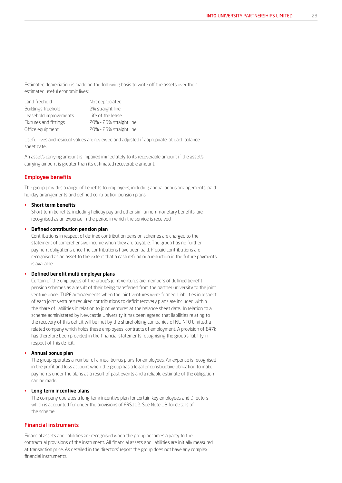Estimated depreciation is made on the following basis to write off the assets over their estimated useful economic lives:

| Land freehold          | Not depreciated         |
|------------------------|-------------------------|
| Buildings freehold     | 2% straight line        |
| Leasehold improvements | Life of the lease       |
| Fixtures and fittings  | 20% - 25% straight line |
| Office equipment       | 20% - 25% straight line |

Useful lives and residual values are reviewed and adjusted if appropriate, at each balance sheet date.

An asset's carrying amount is impaired immediately to its recoverable amount if the asset's carrying amount is greater than its estimated recoverable amount.

#### Employee benefits

The group provides a range of benefits to employees, including annual bonus arrangements, paid holiday arrangements and defined contribution pension plans.

#### • Short term benefits

Short term benefits, including holiday pay and other similar non-monetary benefits, are recognised as an expense in the period in which the service is received.

#### • Defined contribution pension plan

Contributions in respect of defined contribution pension schemes are charged to the statement of comprehensive income when they are payable. The group has no further payment obligations once the contributions have been paid. Prepaid contributions are recognised as an asset to the extent that a cash refund or a reduction in the future payments is available.

## • Defined benefit multi employer plans

Certain of the employees of the group's joint ventures are members of defined benefit pension schemes as a result of their being transferred from the partner university to the joint venture under TUPE arrangements when the joint ventures were formed. Liabilities in respect of each joint venture's required contributions to deficit recovery plans are included within the share of liabilities in relation to joint ventures at the balance sheet date. In relation to a scheme administered by Newcastle University it has been agreed that liabilities relating to the recovery of this deficit will be met by the shareholding companies of NUINTO Limited, a related company which holds these employees' contracts of employment. A provision of £47k has therefore been provided in the financial statements recognising the group's liability in respect of this deficit.

#### • Annual bonus plan

The group operates a number of annual bonus plans for employees. An expense is recognised in the profit and loss account when the group has a legal or constructive obligation to make payments under the plans as a result of past events and a reliable estimate of the obligation can be made.

#### Long term incentive plans

The company operates a long term incentive plan for certain key employees and Directors which is accounted for under the provisions of FRS102. See Note 18 for details of the scheme.

#### Financial instruments

Financial assets and liabilities are recognised when the group becomes a party to the contractual provisions of the instrument. All financial assets and liabilities are initially measured at transaction price. As detailed in the directors' report the group does not have any complex financial instruments.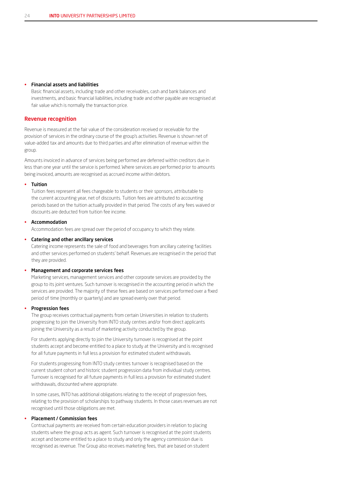#### • Financial assets and liabilities

Basic financial assets, including trade and other receivables, cash and bank balances and investments, and basic financial liabilities, including trade and other payable are recognised at fair value which is normally the transaction price.

#### Revenue recognition

Revenue is measured at the fair value of the consideration received or receivable for the provision of services in the ordinary course of the group's activities. Revenue is shown net of value-added tax and amounts due to third parties and after elimination of revenue within the group.

Amounts invoiced in advance of services being performed are deferred within creditors due in less than one year until the service is performed. Where services are performed prior to amounts being invoiced, amounts are recognised as accrued income within debtors.

#### • Tuition

Tuition fees represent all fees chargeable to students or their sponsors, attributable to the current accounting year, net of discounts. Tuition fees are attributed to accounting periods based on the tuition actually provided in that period. The costs of any fees waived or discounts are deducted from tuition fee income.

### **Accommodation**

Accommodation fees are spread over the period of occupancy to which they relate.

#### • Catering and other ancillary services

Catering income represents the sale of food and beverages from ancillary catering facilities and other services performed on students' behalf. Revenues are recognised in the period that they are provided.

#### • Management and corporate services fees

Marketing services, management services and other corporate services are provided by the group to its joint ventures. Such turnover is recognised in the accounting period in which the services are provided. The majority of these fees are based on services performed over a fixed period of time (monthly or quarterly) and are spread evenly over that period.

#### • Progression fees

The group receives contractual payments from certain Universities in relation to students progressing to join the University from INTO study centres and/or from direct applicants joining the University as a result of marketing activity conducted by the group.

For students applying directly to join the University turnover is recognised at the point students accept and become entitled to a place to study at the University and is recognised for all future payments in full less a provision for estimated student withdrawals.

For students progressing from INTO study centres turnover is recognised based on the current student cohort and historic student progression data from individual study centres. Turnover is recognised for all future payments in full less a provision for estimated student withdrawals, discounted where appropriate.

In some cases, INTO has additional obligations relating to the receipt of progression fees, relating to the provision of scholarships to pathway students. In those cases revenues are not recognised until those obligations are met.

#### • Placement / Commission fees

Contractual payments are received from certain education providers in relation to placing students where the group acts as agent. Such turnover is recognised at the point students accept and become entitled to a place to study and only the agency commission due is recognised as revenue. The Group also receives marketing fees, that are based on student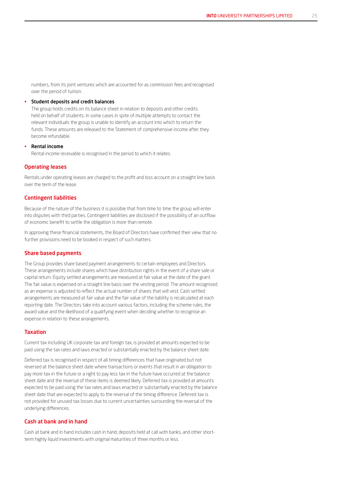numbers, from its joint ventures which are accounted for as commission fees and recognised over the period of tuition.

#### Student deposits and credit balances

The group holds credits on its balance sheet in relation to deposits and other credits held on behalf of students. In some cases in spite of multiple attempts to contact the relevant individuals the group is unable to identify an account into which to return the funds. These amounts are released to the Statement of comprehensive income after they become refundable.

#### • Rental income

Rental income receivable is recognised in the period to which it relates.

#### Operating leases

Rentals under operating leases are charged to the profit and loss account on a straight line basis over the term of the lease.

#### Contingent liabilities

Because of the nature of the business it is possible that from time to time the group will enter into disputes with third parties. Contingent liabilities are disclosed if the possibility of an outflow of economic benefit to settle the obligation is more than remote.

In approving these financial statements, the Board of Directors have confirmed their view that no further provisions need to be booked in respect of such matters.

#### Share based payments

The Group provides share based payment arrangements to certain employees and Directors. These arrangements include shares which have distribution rights in the event of a share sale or capital return. Equity settled arrangements are measured at fair value at the date of the grant. The fair value is expensed on a straight line basis over the vesting period. The amount recognised as an expense is adjusted to reflect the actual number of shares that will vest. Cash settled arrangements are measured at fair value and the fair value of the liability is recalculated at each reporting date. The Directors take into account various factors, including the scheme rules, the award value and the likelihood of a qualifying event when deciding whether to recognise an expense in relation to these arrangements.

#### Taxation

Current tax including UK corporate tax and foreign tax, is provided at amounts expected to be paid using the tax rates and laws enacted or substantially enacted by the balance sheet date.

Deferred tax is recognised in respect of all timing differences that have originated but not reversed at the balance sheet date where transactions or events that result in an obligation to pay more tax in the future or a right to pay less tax in the future have occurred at the balance sheet date and the reversal of these items is deemed likely. Deferred tax is provided at amounts expected to be paid using the tax rates and laws enacted or substantially enacted by the balance sheet date that are expected to apply to the reversal of the timing difference. Deferred tax is not provided for unused tax losses due to current uncertainties surrounding the reversal of the underlying differences.

#### Cash at bank and in hand

Cash at bank and in hand includes cash in hand, deposits held at call with banks, and other shortterm highly liquid investments with original maturities of three months or less.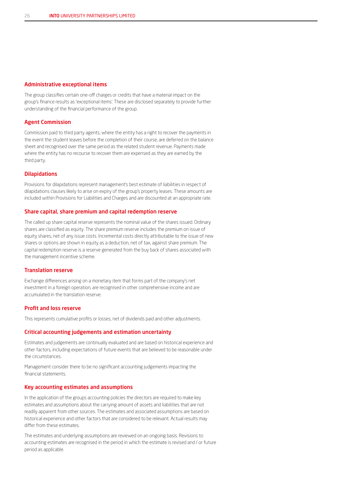#### Administrative exceptional items

The group classifies certain one-off charges or credits that have a material impact on the group's finance results as 'exceptional items'. These are disclosed separately to provide further understanding of the financial performance of the group.

### Agent Commission

Commission paid to third party agents, where the entity has a right to recover the payments in the event the student leaves before the completion of their course, are deferred on the balance sheet and recognised over the same period as the related student revenue. Payments made where the entity has no recourse to recover them are expensed as they are earned by the third party.

#### Dilapidations

Provisions for dilapidations represent management's best estimate of liabilities in respect of dilapidations clauses likely to arise on expiry of the group's property leases. These amounts are included within Provisions for Liabilities and Charges and are discounted at an appropriate rate.

#### Share capital, share premium and capital redemption reserve

The called up share capital reserve represents the nominal value of the shares issued. Ordinary shares are classified as equity. The share premium reserve includes the premium on issue of equity shares, net of any issue costs. Incremental costs directly attributable to the issue of new shares or options are shown in equity as a deduction, net of tax, against share premium. The capital redemption reserve is a reserve generated from the buy back of shares associated with the management incentive scheme.

#### Translation reserve

Exchange differences arising on a monetary item that forms part of the company's net investment in a foreign operation, are recognised in other comprehensive income and are accumulated in the translation reserve.

#### Profit and loss reserve

This represents cumulative profits or losses, net of dividends paid and other adjustments.

#### Critical accounting judgements and estimation uncertainty

Estimates and judgements are continually evaluated and are based on historical experience and other factors, including expectations of future events that are believed to be reasonable under the circumstances.

Management consider there to be no significant accounting judgements impacting the financial statements.

#### Key accounting estimates and assumptions

In the application of the groups accounting policies the directors are required to make key estimates and assumptions about the carrying amount of assets and liabilities that are not readily apparent from other sources. The estimates and associated assumptions are based on historical experience and other factors that are considered to be relevant. Actual results may differ from these estimates.

The estimates and underlying assumptions are reviewed on an ongoing basis. Revisions to accounting estimates are recognised in the period in which the estimate is revised and / or future period as applicable.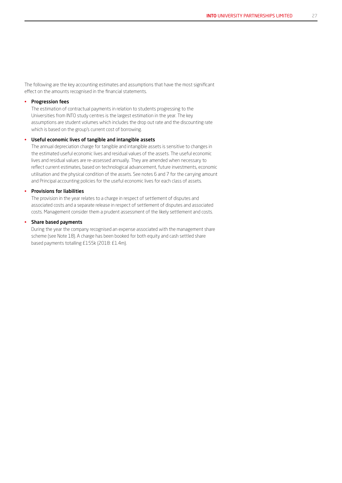The following are the key accounting estimates and assumptions that have the most significant effect on the amounts recognised in the financial statements.

#### • Progression fees

The estimation of contractual payments in relation to students progressing to the Universities from INTO study centres is the largest estimation in the year. The key assumptions are student volumes which includes the drop out rate and the discounting rate which is based on the group's current cost of borrowing.

#### • Useful economic lives of tangible and intangible assets

The annual depreciation charge for tangible and intangible assets is sensitive to changes in the estimated useful economic lives and residual values of the assets. The useful economic lives and residual values are re-assessed annually. They are amended when necessary to reflect current estimates, based on technological advancement, future investments, economic utilisation and the physical condition of the assets. See notes 6 and 7 for the carrying amount and Principal accounting policies for the useful economic lives for each class of assets.

#### • Provisions for liabilities

The provision in the year relates to a charge in respect of settlement of disputes and associated costs and a separate release in respect of settlement of disputes and associated costs. Management consider them a prudent assessment of the likely settlement and costs.

## • Share based payments

During the year the company recognised an expense associated with the management share scheme (see Note 18). A charge has been booked for both equity and cash settled share based payments totalling £155k (2018: £1.4m).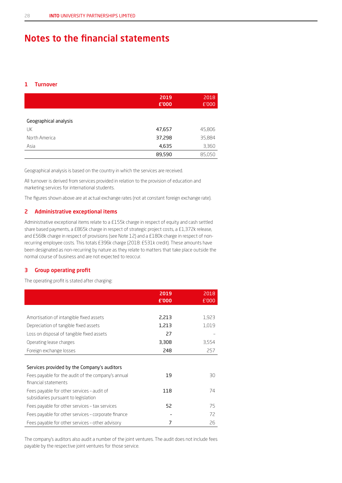## Notes to the financial statements

## 1 Turnover

|                       | 2019<br>£'000 | 2018<br>£'000 |
|-----------------------|---------------|---------------|
| Geographical analysis |               |               |
| UK                    | 47,657        | 45,806        |
| North America         | 37,298        | 35,884        |
| Asia                  | 4,635         | 3,360         |
|                       | 89,590        | 85,050        |

Geographical analysis is based on the country in which the services are received.

All turnover is derived from services provided in relation to the provision of education and marketing services for international students.

The figures shown above are at actual exchange rates (not at constant foreign exchange rate).

## 2 Administrative exceptional items

Administrative exceptional items relate to a £155k charge in respect of equity and cash settled share based payments, a £865k charge in respect of strategic project costs, a £1,372k release, and £568k charge in respect of provisions (see Note 12) and a £180k charge in respect of nonrecurring employee costs. This totals £396k charge (2018: £531k credit). These amounts have been designated as non-recurring by nature as they relate to matters that take place outside the normal course of business and are not expected to reoccur.

## 3 Group operating profit

The operating profit is stated after charging:

|                                                     | 2019<br>£'000 | 2018<br>£'000 |
|-----------------------------------------------------|---------------|---------------|
|                                                     |               |               |
| Amortisation of intangible fixed assets             | 2,213         | 1,923         |
| Depreciation of tangible fixed assets               | 1,213         | 1,019         |
| Loss on disposal of tangible fixed assets           | 27            |               |
| Operating lease charges                             | 3,308         | 3,554         |
| Foreign exchange losses                             | 248           | 257           |
|                                                     |               |               |
| Services provided by the Company's auditors         |               |               |
| Fees payable for the audit of the company's annual  | 19            | 30            |
| financial statements                                |               |               |
| Fees payable for other services - audit of          | 118           | 74            |
| subsidiaries pursuant to legislation                |               |               |
| Fees payable for other services - tax services      | 52            | 75            |
| Fees payable for other services - corporate finance |               | 72            |
| Fees payable for other services – other advisory    | 7             | 26            |

The company's auditors also audit a number of the joint ventures. The audit does not include fees payable by the respective joint ventures for those service.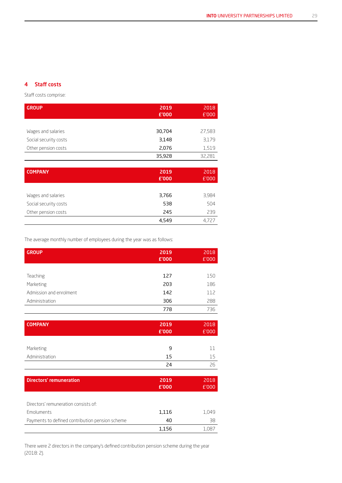## 4 Staff costs

Staff costs comprise:

| <b>GROUP</b>          | 2019<br>£'000 | 2018<br>E'000 |
|-----------------------|---------------|---------------|
|                       |               |               |
| Wages and salaries    | 30,704        | 27,583        |
| Social security costs | 3,148         | 3,179         |
| Other pension costs   | 2,076         | 1,519         |
|                       | 35,928        | 32,281        |
|                       |               |               |
| <b>COMPANY</b>        | 2019<br>£'000 | 2018<br>E'000 |
|                       |               |               |
| Wages and salaries    | 3,766         | 3,984         |
| Social security costs | 538           | 504           |
| Other pension costs   | 245           | 239           |
|                       | 4,549         | 4,727         |

The average monthly number of employees during the year was as follows:

| <b>GROUP</b>                                    | 2019<br>£'000 | 2018<br>£'000 |
|-------------------------------------------------|---------------|---------------|
|                                                 |               |               |
| Teaching                                        | 127           | 150           |
|                                                 | 203           | 186           |
| Marketing                                       |               |               |
| Admission and enrolment                         | 142           | 112           |
| Administration                                  | 306           | 288           |
|                                                 | 778           | 736           |
|                                                 |               |               |
| <b>COMPANY</b>                                  | 2019          | 2018          |
|                                                 | £'000         | £'000         |
|                                                 |               |               |
| Marketing                                       | 9             | 11            |
| Administration                                  | 15            | 15            |
|                                                 | 24            | 26            |
|                                                 |               |               |
| <b>Directors' remuneration</b>                  | 2019          | 2018          |
|                                                 | £'000         | E'000         |
|                                                 |               |               |
| Directors' remuneration consists of:            |               |               |
| Emoluments                                      | 1,116         | 1,049         |
| Payments to defined contribution pension scheme | 40            | 38            |
|                                                 | 1,156         | 1,087         |

There were 2 directors in the company's defined contribution pension scheme during the year (2018: 2).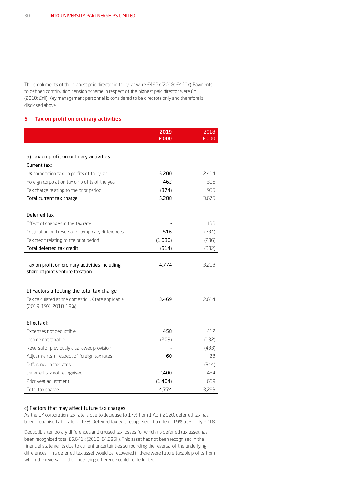The emoluments of the highest paid director in the year were £492k (2018: £460k). Payments to defined contribution pension scheme in respect of the highest paid director were £nil (2018: £nil). Key management personnel is considered to be directors only and therefore is disclosed above.

#### 5 Tax on profit on ordinary activities

|                                                   | 2019<br>£'000 | 2018<br>£'000 |
|---------------------------------------------------|---------------|---------------|
|                                                   |               |               |
| a) Tax on profit on ordinary activities           |               |               |
| Current tax:                                      |               |               |
| UK corporation tax on profits of the year         | 5,200         | 2,414         |
| Foreign corporation tax on profits of the year    | 462           | 306           |
| Tax charge relating to the prior period           | (374)         | 955           |
| Total current tax charge                          | 5,288         | 3,675         |
|                                                   |               |               |
| Deferred tax:                                     |               |               |
| Effect of changes in the tax rate                 |               | 138           |
| Origination and reversal of temporary differences | 516           | (234)         |
| Tax credit relating to the prior period           | (1,030)       | (286)         |
| Total deferred tax credit                         | (514)         | (382)         |
|                                                   |               |               |
| Tax on profit on ordinary activities including    | 4,774         | 3,293         |
| share of joint venture taxation                   |               |               |
| b) Factors affecting the total tax charge         |               |               |
| Tax calculated at the domestic UK rate applicable | 3,469         | 2,614         |
| (2019: 19%, 2018: 19%)                            |               |               |
| Effects of:                                       |               |               |
| Expenses not deductible                           | 458           | 412           |
| Income not taxable                                | (209)         | (132)         |
| Reversal of previously disallowed provision       |               | (433)         |
| Adjustments in respect of foreign tax rates       | 60            | 23            |
| Difference in tax rates                           |               | (344)         |
| Deferred tax not recognised                       | 2,400         | 484           |
| Prior year adjustment                             | (1, 404)      | 669           |
| Total tax charge                                  | 4,774         | 3,293         |

#### c) Factors that may affect future tax charges:

As the UK corporation tax rate is due to decrease to 17% from 1 April 2020, deferred tax has been recognised at a rate of 17%. Deferred tax was recognised at a rate of 19% at 31 July 2018.

Deductible temporary differences and unused tax losses for which no deferred tax asset has been recognised total £6,641k (2018: £4,295k). This asset has not been recognised in the financial statements due to current uncertainties surrounding the reversal of the underlying differences. This deferred tax asset would be recovered if there were future taxable profits from which the reversal of the underlying difference could be deducted.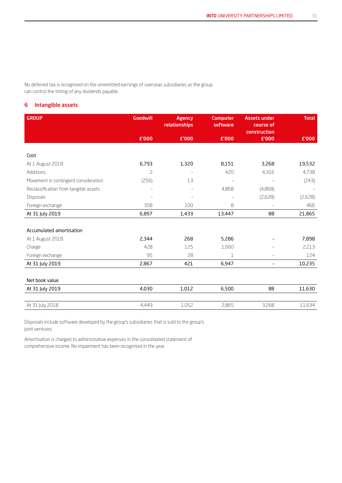No deferred tax is recognised on the unremitted earnings of overseas subsidiaries as the group can control the timing of any dividends payable.

## 6 Intangible assets

| <b>GROUP</b>                          | <b>Goodwill</b>          | <b>Agency</b><br>relationships | <b>Computer</b><br>software | <b>Assets under</b><br>course of<br>construction | <b>Total</b> |
|---------------------------------------|--------------------------|--------------------------------|-----------------------------|--------------------------------------------------|--------------|
|                                       | £'000                    | £'000                          | £'000                       | £'000                                            | £'000        |
|                                       |                          |                                |                             |                                                  |              |
| Cost                                  |                          |                                |                             |                                                  |              |
| At 1 August 2018                      | 6,793                    | 1,320                          | 8,151                       | 3,268                                            | 19,532       |
| Additions                             | $\overline{c}$           |                                | 420                         | 4,316                                            | 4,738        |
| Movement in contingent consideration  | (256)                    | 13                             | $\qquad \qquad -$           |                                                  | (243)        |
| Reclassification from tangible assets | $\overline{\phantom{0}}$ | $\qquad \qquad -$              | 4,868                       | (4,868)                                          |              |
| <b>Disposals</b>                      |                          |                                |                             | (2,628)                                          | (2,628)      |
| Foreign exchange                      | 358                      | 100                            | 8                           |                                                  | 466          |
| At 31 July 2019                       | 6,897                    | 1,433                          | 13,447                      | 88                                               | 21,865       |
|                                       |                          |                                |                             |                                                  |              |
| Accumulated amortisation              |                          |                                |                             |                                                  |              |
| At 1 August 2018                      | 2,344                    | 268                            | 5,286                       |                                                  | 7,898        |
| Charge                                | 428                      | 125                            | 1,660                       |                                                  | 2,213        |
| Foreign exchange                      | 95                       | 28                             | 1                           | $\overline{\phantom{0}}$                         | 124          |
| At 31 July 2019                       | 2,867                    | 421                            | 6,947                       | $\overline{\phantom{a}}$                         | 10,235       |
|                                       |                          |                                |                             |                                                  |              |
| Net book value                        |                          |                                |                             |                                                  |              |
| At 31 July 2019                       | 4,030                    | 1,012                          | 6,500                       | 88                                               | 11,630       |
|                                       |                          |                                |                             |                                                  |              |
| At 31 July 2018                       | 4,449                    | 1,052                          | 2,865                       | 3,268                                            | 11,634       |

Disposals include software developed by the group's subsidiaries that is sold to the group's joint ventures.

Amortisation is charged to administrative expenses in the consolidated statement of comprehensive income. No impairment has been recognised in the year.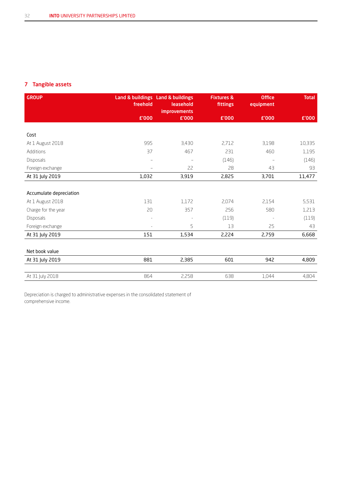## 7 Tangible assets

| <b>GROUP</b>            | freehold          | Land & buildings Land & buildings<br>leasehold<br><b>improvements</b> | <b>Fixtures &amp;</b><br>fittings | <b>Office</b><br>equipment | <b>Total</b> |
|-------------------------|-------------------|-----------------------------------------------------------------------|-----------------------------------|----------------------------|--------------|
|                         | £'000             | £'000                                                                 | £'000                             | £'000                      | £'000        |
|                         |                   |                                                                       |                                   |                            |              |
| Cost                    |                   |                                                                       |                                   |                            |              |
| At 1 August 2018        | 995               | 3,430                                                                 | 2,712                             | 3,198                      | 10,335       |
| Additions               | 37                | 467                                                                   | 231                               | 460                        | 1,195        |
| Disposals               | $\qquad \qquad -$ | $\qquad \qquad -$                                                     | (146)                             |                            | (146)        |
| Foreign exchange        | $\qquad \qquad -$ | 22                                                                    | 28                                | 43                         | 93           |
| At 31 July 2019         | 1,032             | 3,919                                                                 | 2,825                             | 3,701                      | 11,477       |
|                         |                   |                                                                       |                                   |                            |              |
| Accumulate depreciation |                   |                                                                       |                                   |                            |              |
| At 1 August 2018        | 131               | 1,172                                                                 | 2,074                             | 2,154                      | 5,531        |
| Charge for the year     | 20                | 357                                                                   | 256                               | 580                        | 1,213        |
| Disposals               |                   | $\overline{\phantom{a}}$                                              | (119)                             | $\overline{\phantom{a}}$   | (119)        |
| Foreign exchange        | $\sim$            | 5                                                                     | 13                                | 25                         | 43           |
| At 31 July 2019         | 151               | 1,534                                                                 | 2,224                             | 2,759                      | 6,668        |
|                         |                   |                                                                       |                                   |                            |              |
| Net book value          |                   |                                                                       |                                   |                            |              |
| At 31 July 2019         | 881               | 2,385                                                                 | 601                               | 942                        | 4,809        |
|                         |                   |                                                                       |                                   |                            |              |
| At 31 July 2018         | 864               | 2,258                                                                 | 638                               | 1,044                      | 4,804        |

Depreciation is charged to administrative expenses in the consolidated statement of comprehensive income.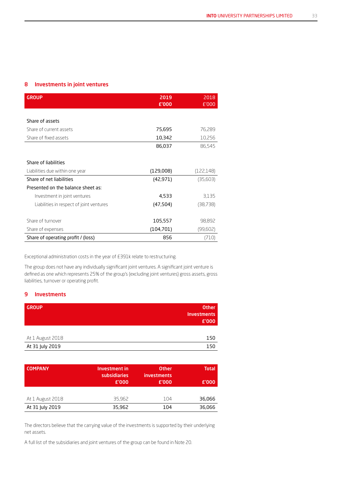## 8 Investments in joint ventures

| <b>GROUP</b>                             | 2019<br>£'000 | 2018<br>£'000 |
|------------------------------------------|---------------|---------------|
|                                          |               |               |
| Share of assets                          |               |               |
| Share of current assets                  | 75,695        | 76,289        |
| Share of fixed assets                    | 10,342        | 10,256        |
|                                          | 86,037        | 86,545        |
| Share of liabilities                     |               |               |
| Liabilities due within one year          | (129,008)     | (122,148)     |
| Share of net liabilities                 | (42, 971)     | (35,603)      |
| Presented on the balance sheet as:       |               |               |
| Investment in joint ventures             | 4,533         | 3.135         |
| Liabilities in respect of joint ventures | (47, 504)     | (38,738)      |
| Share of turnover                        | 105,557       | 98,892        |
| Share of expenses                        | (104, 701)    | (99,602)      |
| Share of operating profit / (loss)       | 856           | (710)         |

Exceptional administration costs in the year of £391k relate to restructuring.

The group does not have any individually significant joint ventures. A significant joint venture is defined as one which represents 25% of the group's (excluding joint ventures) gross assets, gross liabilities, turnover or operating profit.

## 9 Investments

| <b>GROUP</b>     | <b>Other</b><br><b>Investments</b><br>E'000 |
|------------------|---------------------------------------------|
|                  |                                             |
| At 1 August 2018 | 150                                         |
| At 31 July 2019  | 150                                         |

| <b>COMPANY</b>   | Investment in<br>subsidiaries<br>E'000 | <b>Other</b><br><b>investments</b><br>£'000 | <b>Total</b><br>£'000 |
|------------------|----------------------------------------|---------------------------------------------|-----------------------|
|                  |                                        |                                             |                       |
| At 1 August 2018 | 35,962                                 | 104                                         | 36,066                |
| At 31 July 2019  | 35,962                                 | 104                                         | 36,066                |

The directors believe that the carrying value of the investments is supported by their underlying net assets.

A full list of the subsidiaries and joint ventures of the group can be found in Note 20.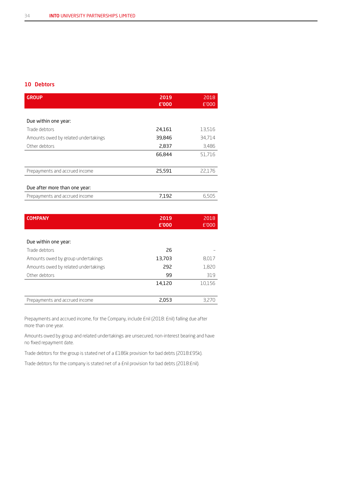## 10 Debtors

| 2019<br>£'000 | 2018<br>E'000 |
|---------------|---------------|
|               |               |
|               |               |
| 24,161        | 13,516        |
| 39,846        | 34,714        |
| 2,837         | 3,486         |
| 66,844        | 51,716        |
|               |               |
| 25,591        | 22.176        |
|               |               |
|               |               |
| 7,192         | 6,505         |
|               |               |

| <b>COMPANY</b>                       | 2019   | 2018   |
|--------------------------------------|--------|--------|
|                                      | £'000  | £'000  |
|                                      |        |        |
| Due within one year:                 |        |        |
| Trade debtors                        | 26     |        |
| Amounts owed by group undertakings   | 13,703 | 8,017  |
| Amounts owed by related undertakings | 292    | 1,820  |
| Other debtors                        | 99     | 319    |
|                                      | 14,120 | 10.156 |
|                                      |        |        |
| Prepayments and accrued income       | 2,053  | 3,270  |

Prepayments and accrued income, for the Company, include £nil (2018: £nil) falling due after more than one year.

Amounts owed by group and related undertakings are unsecured, non-interest bearing and have no fixed repayment date.

Trade debtors for the group is stated net of a £186k provision for bad debts (2018:£95k).

Trade debtors for the company is stated net of a £nil provision for bad debts (2018:£nil).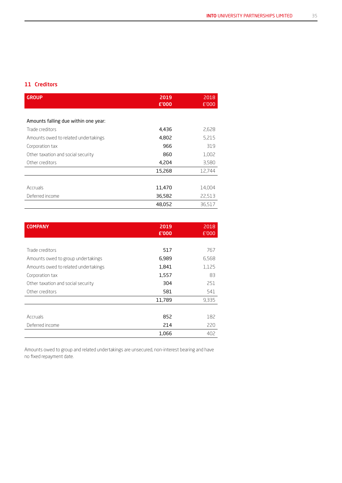## 11 Creditors

| <b>GROUP</b>                         | 2019<br>£'000 | 2018<br>£'000 |
|--------------------------------------|---------------|---------------|
|                                      |               |               |
| Amounts falling due within one year: |               |               |
| Trade creditors                      | 4,436         | 2,628         |
| Amounts owed to related undertakings | 4,802         | 5,215         |
| Corporation tax                      | 966           | 319           |
| Other taxation and social security   | 860           | 1,002         |
| Other creditors                      | 4,204         | 3,580         |
|                                      | 15,268        | 12,744        |
|                                      |               |               |
| Accruals                             | 11,470        | 14,004        |
| Deferred income                      | 36,582        | 22,513        |
|                                      | 48,052        | 36,517        |

| <b>COMPANY</b>                       | 2019<br>£'000 | 2018<br>£'000 |
|--------------------------------------|---------------|---------------|
|                                      |               |               |
|                                      |               |               |
| Trade creditors                      | 517           | 767           |
| Amounts owed to group undertakings   | 6,989         | 6,568         |
| Amounts owed to related undertakings | 1,841         | 1,125         |
| Corporation tax                      | 1,557         | 83            |
| Other taxation and social security   | 304           | 251           |
| Other creditors                      | 581           | 541           |
|                                      | 11,789        | 9,335         |
|                                      |               |               |
| Accruals                             | 852           | 182           |
| Deferred income                      | 214           | 220           |
|                                      | 1,066         | 402           |

Amounts owed to group and related undertakings are unsecured, non-interest bearing and have no fixed repayment date.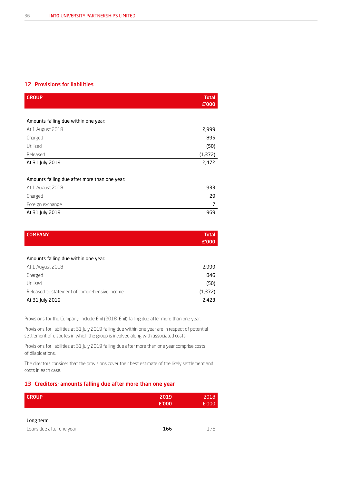### 12 Provisions for liabilities

| <b>GROUP</b>                                  | <b>Total</b><br>£'000 |
|-----------------------------------------------|-----------------------|
|                                               |                       |
| Amounts falling due within one year:          |                       |
| At 1 August 2018                              | 2,999                 |
| Charged                                       | 895                   |
| Utilised                                      | (50)                  |
| Released                                      | (1,372)               |
| At 31 July 2019                               | 2,472                 |
|                                               |                       |
| Amounts falling due after more than one year: |                       |
| At 1 August 2018                              | 933                   |
| Charged                                       | 29                    |
| Foreign exchange                              | 7                     |
| At 31 July 2019                               | 969                   |
|                                               |                       |

| <b>COMPANY</b>                                | <b>Total</b><br>£'000 |
|-----------------------------------------------|-----------------------|
|                                               |                       |
| Amounts falling due within one year:          |                       |
| At 1 August 2018                              | 2,999                 |
| Charged                                       | 846                   |
| Utilised                                      | (50)                  |
| Released to statement of comprehensive income | (1,372)               |
| At 31 July 2019                               | 2,423                 |

Provisions for the Company, include £nil (2018: £nil) falling due after more than one year.

Provisions for liabilities at 31 July 2019 falling due within one year are in respect of potential settlement of disputes in which the group is involved along with associated costs.

Provisions for liabilities at 31 July 2019 falling due after more than one year comprise costs of dilapidations.

The directors consider that the provisions cover their best estimate of the likely settlement and costs in each case.

## 13 Creditors; amounts falling due after more than one year

| <b>GROUP</b>             | 2019  | 2018  |
|--------------------------|-------|-------|
|                          | £'000 | E'000 |
|                          |       |       |
| Long term                |       |       |
| Loans due after one year | 166   | 176   |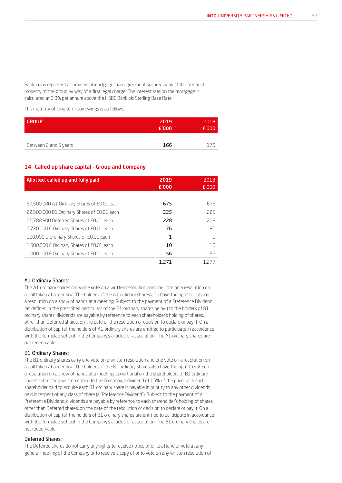Bank loans represent a commercial mortgage loan agreement secured against the freehold property of the group by way of a first legal charge. The interest rate on the mortgage is calculated at 3.8% per annum above the HSBC Bank plc Sterling Base Rate.

The maturity of long term borrowings is as follows:

| GROUP                 | 2019<br>£'000 | 2018<br>E'000 |
|-----------------------|---------------|---------------|
| Between 2 and 5 years | 166           | 176           |

### 14 Called up share capital – Group and Company

| Allotted, called up and fully paid          | 2019<br>E'000 | 2018<br>E'000 |
|---------------------------------------------|---------------|---------------|
|                                             |               |               |
| 67,500,000 A1 Ordinary Shares of £0.01 each | 675           | 675           |
| 22,500,000 B1 Ordinary Shares of £0.01 each | 225           | 225           |
| 22.788.800 Deferred Shares of £0.01 each    | 228           | 228           |
| 6,720,000 C Ordinary Shares of £0.01 each   | 76            | 82            |
| 100,000 D Ordinary Shares of £0.01 each     | 1             |               |
| 1,000,000 E Ordinary Shares of £0.01 each   | 10            | 10            |
| 1,000,000 F Ordinary Shares of £0.01 each   | 56            | 56            |
|                                             | 1.271         | 1.277         |

#### A1 Ordinary Shares:

The A1 ordinary shares carry one vote on a written resolution and one vote on a resolution on a poll taken at a meeting. The holders of the A1 ordinary shares also have the right to vote on a resolution on a show of hands at a meeting. Subject to the payment of a Preference Dividend (as defined in the prescribed particulars of the B1 ordinary shares below) to the holders of B1 ordinary shares, dividends are payable by reference to each shareholder's holding of shares, other than Deferred shares, on the date of the resolution or decision to declare or pay it. On a distribution of capital, the holders of A1 ordinary shares are entitled to participate in accordance with the formulae set out in the Company's articles of association. The A1 ordinary shares are not redeemable.

#### B1 Ordinary Shares:

The B1 ordinary shares carry one vote on a written resolution and one vote on a resolution on a poll taken at a meeting. The holders of the B1 ordinary shares also have the right to vote on a resolution on a show of hands at a meeting. Conditional on the shareholders of B1 ordinary shares submitting written notice to the Company, a dividend of 15% of the price each such shareholder paid to acquire each B1 ordinary share is payable in priority to any other dividends paid in respect of any class of share (a "Preference Dividend"). Subject to the payment of a Preference Dividend, dividends are payable by reference to each shareholder's holding of shares, other than Deferred shares, on the date of the resolution or decision to declare or pay it. On a distribution of capital, the holders of B1 ordinary shares are entitled to participate in accordance with the formulae set out in the Company's articles of association. The B1 ordinary shares are not redeemable.

#### Deferred Shares:

The Deferred shares do not carry any rights to receive notice of or to attend or vote at any general meeting of the Company or to receive a copy of or to vote on any written resolution of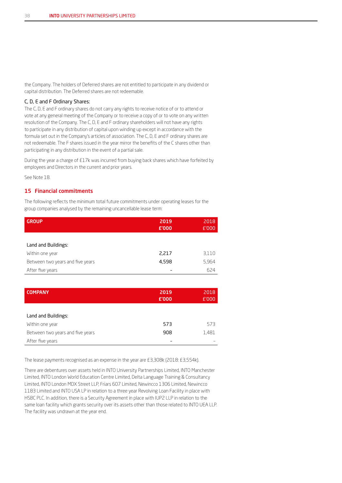the Company. The holders of Deferred shares are not entitled to participate in any dividend or capital distribution. The Deferred shares are not redeemable.

#### C, D, E and F Ordinary Shares:

The C, D, E and F ordinary shares do not carry any rights to receive notice of or to attend or vote at any general meeting of the Company or to receive a copy of or to vote on any written resolution of the Company. The C, D, E and F ordinary shareholders will not have any rights to participate in any distribution of capital upon winding up except in accordance with the formula set out in the Company's articles of association. The C, D, E and F ordinary shares are not redeemable. The F shares issued in the year mirror the benefits of the C shares other than participating in any distribution in the event of a partial sale.

During the year a charge of £17k was incurred from buying back shares which have forfeited by employees and Directors in the current and prior years.

See Note 18.

## 15 Financial commitments

The following reflects the minimum total future commitments under operating leases for the group companies analysed by the remaining uncancellable lease term:

| <b>GROUP</b>                     | 2019<br>£'000 | 2018<br>£'000 |
|----------------------------------|---------------|---------------|
|                                  |               |               |
| Land and Buildings:              |               |               |
| Within one year                  | 2,217         | 3,110         |
| Between two years and five years | 4,598         | 5,964         |
| After five years                 |               | 624           |

| <b>COMPANY</b>                   | 2019<br>£'000 | 2018<br>E'000 |
|----------------------------------|---------------|---------------|
|                                  |               |               |
| Land and Buildings:              |               |               |
| Within one year                  | 573           | 573           |
| Between two years and five years | 908           | 1,481         |
| After five years                 |               |               |

The lease payments recognised as an expense in the year are £3,308k (2018: £3,554k).

There are debentures over assets held in INTO University Partnerships Limited, INTO Manchester Limited, INTO London World Education Centre Limited, Delta Language Training & Consultancy Limited, INTO London MDX Street LLP, Friars 607 Limited, Newincco 1306 Limited, Newincco 1183 Limited and INTO USA LP in relation to a three year Revolving Loan Facility in place with HSBC PLC. In addition, there is a Security Agreement in place with IUP2 LLP in relation to the same loan facility which grants security over its assets other than those related to INTO UEA LLP. The facility was undrawn at the year end.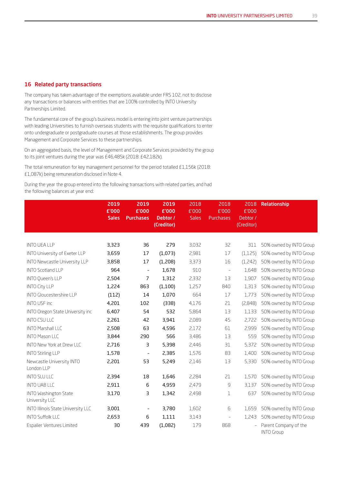## 16 Related party transactions

The company has taken advantage of the exemptions available under FRS 102, not to disclose any transactions or balances with entities that are 100% controlled by INTO University Partnerships Limited.

The fundamental core of the group's business model is entering into joint venture partnerships with leading Universities to furnish overseas students with the requisite qualifications to enter onto undergraduate or postgraduate courses at those establishments. The group provides Management and Corporate Services to these partnerships.

On an aggregated basis, the level of Management and Corporate Services provided by the group to its joint ventures during the year was £46,485k (2018: £42,182k).

The total remuneration for key management personnel for the period totalled £1,156k (2018: £1,087k) being remuneration disclosed in Note 4.

During the year the group entered into the following transactions with related parties, and had the following balances at year end:

|                                                | 2019<br>£'000<br><b>Sales</b> | 2019<br>£'000<br><b>Purchases</b> | 2019<br>£'000<br>Debtor /<br>(Creditor) | 2018<br>£'000<br><b>Sales</b> | 2018<br>£'000<br><b>Purchases</b> | 2018<br>£'000<br>Debtor /<br>(Creditor) | Relationship                               |
|------------------------------------------------|-------------------------------|-----------------------------------|-----------------------------------------|-------------------------------|-----------------------------------|-----------------------------------------|--------------------------------------------|
|                                                |                               |                                   |                                         |                               |                                   |                                         |                                            |
| <b>INTO UEA LLP</b>                            | 3,323                         | 36                                | 279                                     | 3,032                         | 32                                | 311                                     | 50% owned by INTO Group                    |
| INTO University of Exeter LLP                  | 3,659                         | 17                                | (1,073)                                 | 2,981                         | 17                                | (1, 125)                                | 50% owned by INTO Group                    |
| <b>INTO Newcastle University LLP</b>           | 3,858                         | 17                                | (1,208)                                 | 3,373                         | 16                                | (1,242)                                 | 50% owned by INTO Group                    |
| <b>INTO Scotland LLP</b>                       | 964                           | $\overline{\phantom{a}}$          | 1,678                                   | 910                           | $\equiv$                          | 1,648                                   | 50% owned by INTO Group                    |
| <b>INTO Queen's LLP</b>                        | 2,504                         | $\overline{7}$                    | 1,312                                   | 2,332                         | 13                                | 1,907                                   | 50% owned by INTO Group                    |
| <b>INTO City LLP</b>                           | 1,224                         | 863                               | (1,100)                                 | 1,257                         | 840                               | 1,313                                   | 50% owned by INTO Group                    |
| <b>INTO Gloucestershire LLP</b>                | (112)                         | 14                                | 1,070                                   | 664                           | 17                                | 1,773                                   | 50% owned by INTO Group                    |
| <b>INTO USF inc</b>                            | 4,201                         | 102                               | (338)                                   | 4,176                         | 21                                | (2,848)                                 | 50% owned by INTO Group                    |
| INTO Oregon State University inc               | 6,407                         | 54                                | 532                                     | 5,864                         | 13                                | 1,133                                   | 50% owned by INTO Group                    |
| <b>INTO CSU LLC</b>                            | 2,261                         | 42                                | 3,941                                   | 2,089                         | 45                                | 2,722                                   | 50% owned by INTO Group                    |
| <b>INTO Marshall LLC</b>                       | 2,508                         | 63                                | 4,596                                   | 2,172                         | 61                                | 2,999                                   | 50% owned by INTO Group                    |
| <b>INTO Mason LLC</b>                          | 3,844                         | 290                               | 566                                     | 3,486                         | 13                                | 559                                     | 50% owned by INTO Group                    |
| <b>INTO New York at Drew LLC</b>               | 2,716                         | З                                 | 5,398                                   | 2,446                         | 31                                | 5,372                                   | 50% owned by INTO Group                    |
| <b>INTO Stirling LLP</b>                       | 1,578                         | $\overline{a}$                    | 2,385                                   | 1,576                         | 83                                | 1,400                                   | 50% owned by INTO Group                    |
| Newcastle University INTO<br>London LLP        | 2,201                         | 53                                | 5,249                                   | 2,146                         | 13                                | 5,330                                   | 50% owned by INTO Group                    |
| <b>INTO SLU LLC</b>                            | 2,394                         | 18                                | 1,646                                   | 2,284                         | 21                                | 1,570                                   | 50% owned by INTO Group                    |
| <b>INTO UAB LLC</b>                            | 2,911                         | 6                                 | 4,959                                   | 2,479                         | $\mathsf 9$                       | 3.137                                   | 50% owned by INTO Group                    |
| <b>INTO Washington State</b><br>University LLC | 3,170                         | 3                                 | 1,342                                   | 2,498                         | 1                                 | 637                                     | 50% owned by INTO Group                    |
| INTO Illinois State University LLC             | 3,001                         | $\overline{\phantom{a}}$          | 3,780                                   | 1,602                         | 6                                 | 1,659                                   | 50% owned by INTO Group                    |
| <b>INTO Suffolk LLC</b>                        | 2,653                         | 6                                 | 1,111                                   | 3,143                         | $\overline{\phantom{a}}$          | 1,243                                   | 50% owned by INTO Group                    |
| Espalier Ventures Limited                      | 30                            | 439                               | (1,082)                                 | 179                           | 868                               |                                         | Parent Company of the<br><b>INTO Group</b> |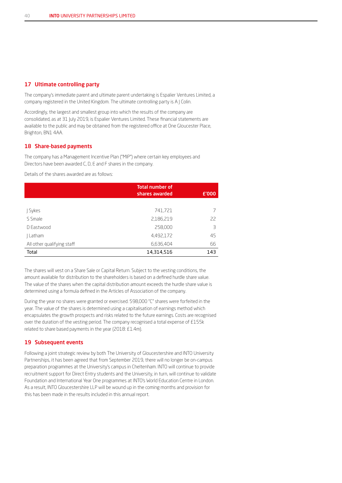### 17 Ultimate controlling party

The company's immediate parent and ultimate parent undertaking is Espalier Ventures Limited, a company registered in the United Kingdom. The ultimate controlling party is A J Colin.

Accordingly, the largest and smallest group into which the results of the company are consolidated, as at 31 July 2019, is Espalier Ventures Limited. These financial statements are available to the public and may be obtained from the registered office at One Gloucester Place, Brighton, BN1 4AA.

#### 18 Share-based payments

The company has a Management Incentive Plan ("MIP") where certain key employees and Directors have been awarded C, D, E and F shares in the company.

Details of the shares awarded are as follows:

|                            | <b>Total number of</b><br>shares awarded | £'000 |
|----------------------------|------------------------------------------|-------|
|                            |                                          |       |
| J Sykes                    | 741,721                                  |       |
| S Smale                    | 2,186,219                                | 22    |
| D Eastwood                 | 258,000                                  | 3     |
| Latham                     | 4,492,172                                | 45    |
| All other qualifying staff | 6,636,404                                | 66    |
| Total                      | 14,314,516                               | 143   |

The shares will vest on a Share Sale or Capital Return. Subject to the vesting conditions, the amount available for distribution to the shareholders is based on a defined hurdle share value. The value of the shares when the capital distribution amount exceeds the hurdle share value is determined using a formula defined in the Articles of Association of the company.

During the year no shares were granted or exercised. 598,000 "C" shares were forfeited in the year. The value of the shares is determined using a capitalisation of earnings method which encapsulates the growth prospects and risks related to the future earnings. Costs are recognised over the duration of the vesting period. The company recognised a total expense of £155k related to share based payments in the year (2018: £1.4m).

## 19 Subsequent events

Following a joint strategic review by both The University of Gloucestershire and INTO University Partnerships, it has been agreed that from September 2019, there will no longer be on-campus preparation programmes at the University's campus in Cheltenham. INTO will continue to provide recruitment support for Direct Entry students and the University, in turn, will continue to validate Foundation and International Year One programmes at INTO's World Education Centre in London. As a result, INTO Gloucestershire LLP will be wound up in the coming months and provision for this has been made in the results included in this annual report.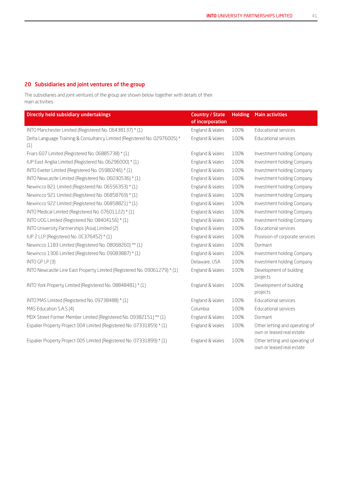## 20 Subsidiaries and joint ventures of the group

The subsidiaries and joint ventures of the group are shown below together with details of their main activities.

| Directly held subsidiary undertakings                                            | <b>Country / State</b><br>of incorporation | <b>Holding</b> | <b>Main activities</b>                                      |
|----------------------------------------------------------------------------------|--------------------------------------------|----------------|-------------------------------------------------------------|
| INTO Manchester Limited (Registered No. 06438137) * (1)                          | England & Wales                            | 100%           | <b>Educational services</b>                                 |
| Delta Language Training & Consultancy Limited (Registered No. 02976005) *<br>(1) | England & Wales                            | 100%           | Educational services                                        |
| Friars 607 Limited (Registered No. 06885738) * (1)                               | England & Wales                            | 100%           | Investment holding Company                                  |
| IUP East Anglia Limited (Registered No. 06296000) * (1)                          | England & Wales                            | 100%           | Investment holding Company                                  |
| INTO Exeter Limited (Registered No. 05980246) * (1)                              | England & Wales                            | 100%           | Investment holding Company                                  |
| INTO Newcastle Limited (Registered No. 06030536) * (1)                           | England & Wales                            | 100%           | Investment holding Company                                  |
| Newincco 821 Limited (Registered No. 06556353) * (1)                             | England & Wales                            | 100%           | Investment holding Company                                  |
| Newincco 921 Limited (Registered No. 06858769) * (1)                             | England & Wales                            | 100%           | Investment holding Company                                  |
| Newincco 922 Limited (Registered No. 06858821) * (1)                             | England & Wales                            | 100%           | Investment holding Company                                  |
| INTO Medical Limited (Registered No. 07601122) * (1)                             | England & Wales                            | 100%           | Investment holding Company                                  |
| INTO UOG Limited (Registered No. 08404156) * (1)                                 | England & Wales                            | 100%           | Investment holding Company                                  |
| INTO University Partnerships (Asia) Limited (2)                                  | England & Wales                            | 100%           | Educational services                                        |
| IUP 2 LLP (Registered No. 0C376452) * (1)                                        | England & Wales                            | 100%           | Provision of corporate services                             |
| Newincco 1183 Limited (Registered No. 08068260) ** (1)                           | England & Wales                            | 100%           | Dormant                                                     |
| Newincco 1306 Limited (Registered No. 09083887) * (1)                            | England & Wales                            | 100%           | Investment holding Company                                  |
| INTO GP LP $(3)$                                                                 | Delaware, USA                              | 100%           | Investment holding Company                                  |
| INTO Newcastle Line East Property Limited (Registered No. 09061279) * (1)        | England & Wales                            | 100%           | Development of building<br>projects                         |
| INTO York Property Limited (Registered No. 08848481) * (1)                       | England & Wales                            | 100%           | Development of building<br>projects                         |
| INTO MAS Limited (Registered No. 09738488) * (1)                                 | England & Wales                            | 100%           | Educational services                                        |
| MAS Education S.A.S (4)                                                          | Columbia                                   | 100%           | Educational services                                        |
| MDX Street Former Member Limited (Registered No. 09382151) ** (1)                | England & Wales                            | 100%           | Dormant                                                     |
| Espalier Property Project 004 Limited (Registered No. 07331859) * (1)            | England & Wales                            | 100%           | Other letting and operating of<br>own or leased real estate |
| Espalier Property Project 005 Limited (Registered No. 07331899) * (1)            | England & Wales                            | 100%           | Other letting and operating of<br>own or leased real estate |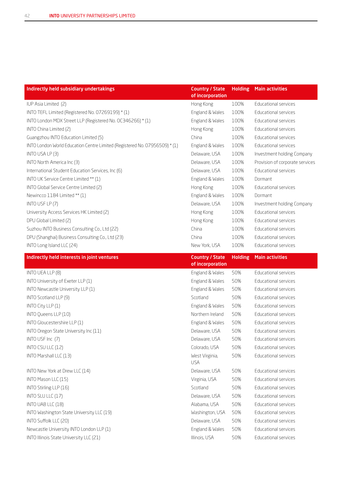| Indirectly held subsidiary undertakings                                    | <b>Country / State</b><br>of incorporation | <b>Holding</b> | <b>Main activities</b>          |
|----------------------------------------------------------------------------|--------------------------------------------|----------------|---------------------------------|
| IUP Asia Limited (2)                                                       | Hong Kong                                  | 100%           | Educational services            |
| INTO TEFL Limited (Registered No. 07269199) * (1)                          | England & Wales                            | 100%           | Educational services            |
| INTO London MDX Street LLP (Registered No. OC346266) * (1)                 | England & Wales                            | 100%           | Educational services            |
| INTO China Limited (2)                                                     | Hong Kong                                  | 100%           | Educational services            |
| Guangzhou INTO Education Limited (5)                                       | China                                      | 100%           | Educational services            |
| INTO London World Education Centre Limited (Registered No. 07956509) * (1) | England & Wales                            | 100%           | Educational services            |
| INTO USA LP (3)                                                            | Delaware, USA                              | 100%           | Investment holding Company      |
| INTO North America Inc (3)                                                 | Delaware, USA                              | 100%           | Provision of corporate services |
| International Student Education Services, Inc (6)                          | Delaware, USA                              | 100%           | Educational services            |
| INTO UK Service Centre Limited ** (1)                                      | England & Wales                            | 100%           | Dormant                         |
| INTO Global Service Centre Limited (2)                                     | Hong Kong                                  | 100%           | Educational services            |
| Newincco 1184 Limited ** (1)                                               | England & Wales                            | 100%           | Dormant                         |
| INTO USF LP (7)                                                            | Delaware, USA                              | 100%           | Investment holding Company      |
| University Access Services HK Limited (2)                                  | Hong Kong                                  | 100%           | Educational services            |
| DPU Global Limited (2)                                                     | Hong Kong                                  | 100%           | Educational services            |
| Suzhou INTO Business Consulting Co., Ltd (22)                              | China                                      | 100%           | Educational services            |
| DPU (Shanghai) Business Consulting Co., Ltd (23)                           | China                                      | 100%           | Educational services            |
| INTO Long Island LLC (24)                                                  | New York, USA                              | 100%           | Educational services            |
| Indirectly held interests in joint ventures                                | <b>Country / State</b><br>of incorporation | <b>Holding</b> | <b>Main activities</b>          |
| INTO UEA LLP (8)                                                           | England & Wales                            | 50%            | Educational services            |
| INTO University of Exeter LLP (1)                                          | England & Wales                            | 50%            | Educational services            |
| INTO Newcastle University LLP (1)                                          | England & Wales                            | 50%            | Educational services            |
| INTO Scotland LLP (9)                                                      | Scotland                                   | 50%            | Educational services            |
| INTO City LLP (1)                                                          | England & Wales                            | 50%            | <b>Educational services</b>     |
| INTO Queens LLP (10)                                                       | Northern Ireland                           | 50%            | Educational services            |
| INTO Gloucestershire LLP (1)                                               | England & Wales                            | 50%            | Educational services            |
| INTO Oregon State University Inc (11)                                      | Delaware, USA                              | 50%            | Educational services            |
| INTO USF Inc (7)                                                           | Delaware, USA                              | 50%            | Educational services            |
| INTO CSU LLC (12)                                                          | Colorado, USA                              | 50%            | Educational services            |
| INTO Marshall LLC (13)                                                     | West Virginia,<br><b>USA</b>               | 50%            | Educational services            |
| INTO New York at Drew LLC (14)                                             | Delaware, USA                              | 50%            | Educational services            |
| INTO Mason LLC (15)                                                        | Virginia, USA                              | 50%            | Educational services            |
| INTO Stirling LLP (16)                                                     | Scotland                                   | 50%            | Educational services            |
| INTO SLU LLC (17)                                                          | Delaware, USA                              | 50%            | Educational services            |
| INTO UAB LLC (18)                                                          | Alabama, USA                               | 50%            | Educational services            |
| INTO Washington State University LLC (19)                                  | Washington, USA                            | 50%            | <b>Educational services</b>     |
| INTO Suffolk LLC (20)                                                      | Delaware, USA                              | 50%            | Educational services            |
| Newcastle University INTO London LLP (1)                                   | England & Wales                            | 50%            | Educational services            |
| INTO Illinois State University LLC (21)                                    | Illinois, USA                              | 50%            | Educational services            |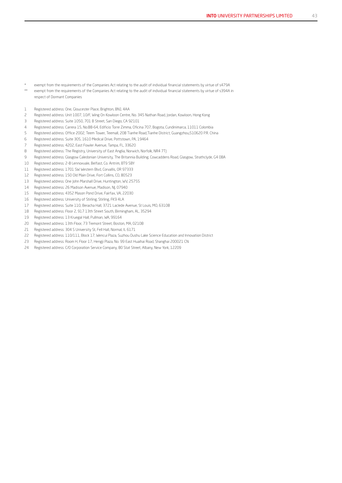- exempt from the requirements of the Companies Act relating to the audit of individual financial statements by virtue of s479A
- \*\* exempt from the requirements of the Companies Act relating to the audit of individual financial statements by virtue of s394A in respect of Dormant Companies
- Registered address: One, Gloucester Place, Brighton, BN1 4AA
- Registered address: Unit 1007, 10/F, Wing On Kowloon Centre, No. 345 Nathan Road, Jordan, Kowloon, Hong Kong
- Registered address: Suite 1050, 701 B Street, San Diego, CA 92101
- Registered address: Carrera 15, No.88-64, Edificio Torre Zimma, Oficina 707, Bogota, Cundinimarca, 11011 Colombia
- Registered address: Office 2002, Teem Tower, Teemall, 208 Tianhe Road,Tianhe District, Guangzhou,510620 P.R. China
- Registered address: Suite 305, 1610 Medical Drive, Pottstown, PA, 19464
- Registered address: 4202, East Fowler Avenue, Tampa, FL, 33620
- 8 Registered address: The Registry, University of East Anglia, Norwich, Norfolk, NR4 7TJ
- Registered address: Glasgow Caledonian University, The Britannia Building, Cowcaddens Road, Glasgow, Strathclyde, G4 0BA
- Registered address: 2-8 Lennoxvale, Belfast, Co. Antrim, BT9 5BY
- Registered address: 1701 SW Western Blvd, Corvallis, OR 97333
- Registered address: 150 Old Main Drive, Fort Collins, CO, 80523
- Registered address: One John Marshall Drive, Huntington, WV, 25755
- Registered address: 26 Madison Avenue, Madison, NJ, 07940
- Registered address: 4352 Mason Pond Drive, Fairfax, VA, 22030
- Registered address: University of Stirling, Stirling, FK9 4LA
- Registered address: Suite 110, Beracha Hall, 3721 Laclede Avenue, St Louis, MO, 63108
- Registered address: Floor 2, 917 13th Street South, Birmingham, AL, 35294
- Registered address: 13 Kruegal Hall, Pullman, WA, 99164
- Registered address: 13th Floor, 73 Tremont Street, Boston, MA, 02108
- 21 Registered address: 304 S University St, Fell Hall, Normal, IL 6171
- Registered address: 110/111, Block 17, Wencui Plaza, Suzhou Dushu Lake Science Education and Innovation District
- Registered address: Room H, Floor 17, Hengji Plaza, No. 99 East Huaihai Road, Shanghai 200021 CN
- Registered address: C/O Corporation Service Company, 80 Stat Street, Albany, New York, 12209